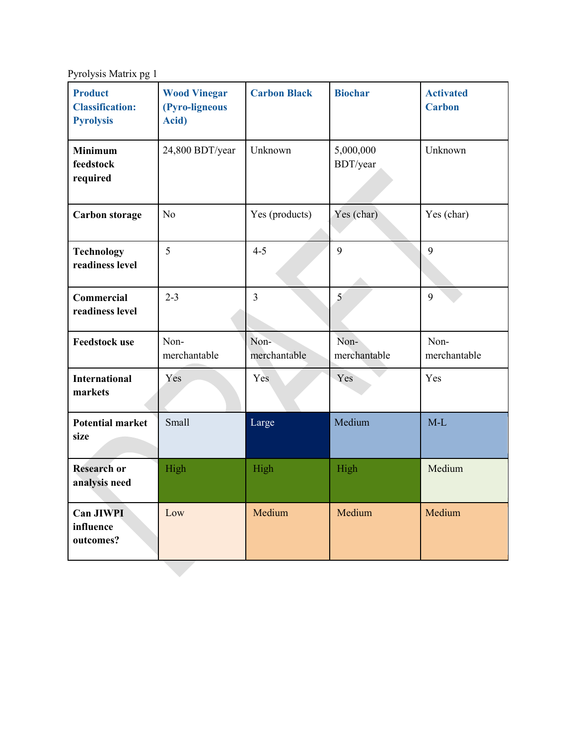Pyrolysis Matrix pg 1

| <b>Product</b><br><b>Classification:</b><br><b>Pyrolysis</b> | <b>Wood Vinegar</b><br>(Pyro-ligneous<br>Acid) | <b>Carbon Black</b>  | <b>Biochar</b>        | <b>Activated</b><br><b>Carbon</b> |
|--------------------------------------------------------------|------------------------------------------------|----------------------|-----------------------|-----------------------------------|
| <b>Minimum</b><br>feedstock<br>required                      | 24,800 BDT/year                                | Unknown              | 5,000,000<br>BDT/year | Unknown                           |
| <b>Carbon storage</b>                                        | N <sub>o</sub>                                 | Yes (products)       | Yes (char)            | Yes (char)                        |
| <b>Technology</b><br>readiness level                         | 5                                              | $4 - 5$              | 9                     | 9                                 |
| Commercial<br>readiness level                                | $2 - 3$                                        | $\overline{3}$       | 5                     | 9                                 |
| <b>Feedstock use</b>                                         | Non-<br>merchantable                           | Non-<br>merchantable | Non-<br>merchantable  | Non-<br>merchantable              |
| <b>International</b><br>markets                              | Yes                                            | Yes                  | Yes                   | Yes                               |
| <b>Potential market</b><br>size                              | Small                                          | Large                | Medium                | $M-L$                             |
| <b>Research or</b><br>analysis need                          | High                                           | High                 | High                  | Medium                            |
| <b>Can JIWPI</b><br>influence<br>outcomes?                   | Low                                            | Medium               | Medium                | Medium                            |
|                                                              |                                                |                      |                       |                                   |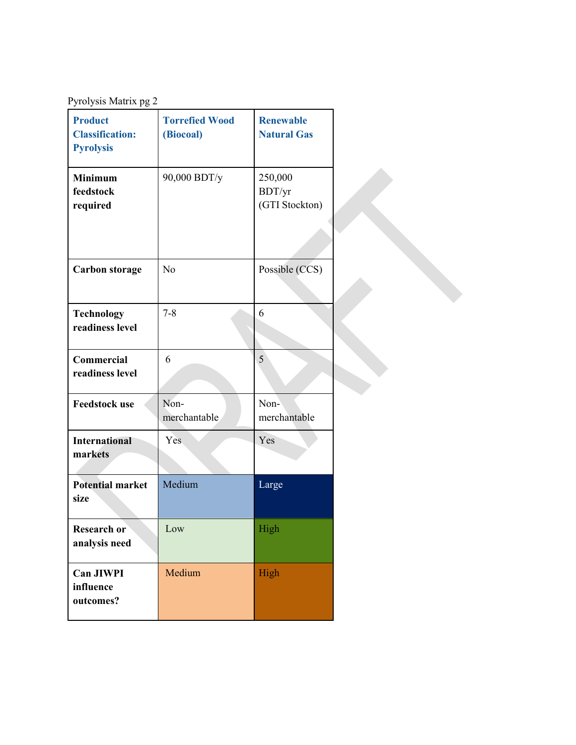Pyrolysis Matrix pg 2

| <b>Product</b><br><b>Classification:</b><br><b>Pyrolysis</b> | <b>Torrefied Wood</b><br>(Biocoal) | <b>Renewable</b><br><b>Natural Gas</b> |  |
|--------------------------------------------------------------|------------------------------------|----------------------------------------|--|
| <b>Minimum</b><br>feedstock<br>required                      | 90,000 BDT/y                       | 250,000<br>BDT/yr<br>(GTI Stockton)    |  |
| <b>Carbon storage</b>                                        | No                                 | Possible (CCS)                         |  |
| <b>Technology</b><br>readiness level                         | $7 - 8$                            | 6                                      |  |
| Commercial<br>readiness level                                | 6                                  | 5                                      |  |
| <b>Feedstock use</b>                                         | Non-<br>merchantable               | Non-<br>merchantable                   |  |
| <b>International</b><br>markets                              | Yes.                               | Yes                                    |  |
| <b>Potential market</b><br>size                              | Medium                             | Large                                  |  |
| Research or<br>analysis need                                 | Low                                | High                                   |  |
| <b>Can JIWPI</b><br>influence<br>outcomes?                   | Medium                             | High                                   |  |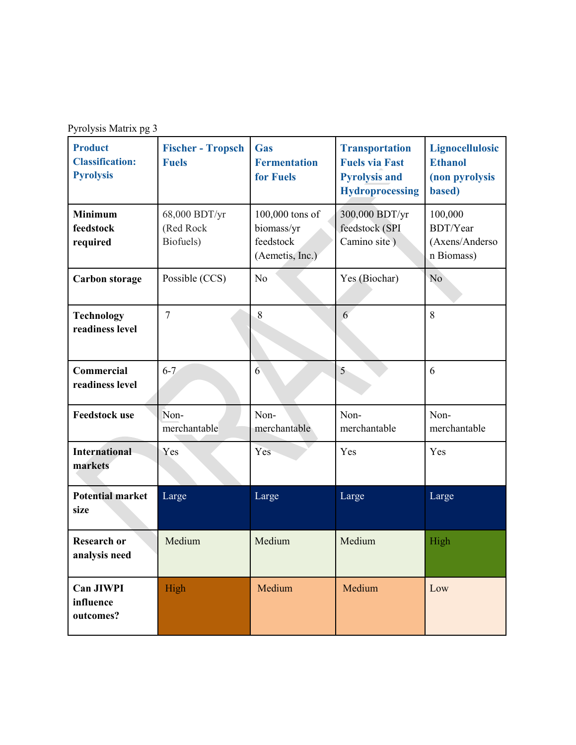| Pyrolysis Matrix pg 3 |  |
|-----------------------|--|
|                       |  |

| <b>Product</b><br><b>Classification:</b><br><b>Pyrolysis</b> | <b>Fischer - Tropsch</b><br><b>Fuels</b> | Gas<br><b>Fermentation</b><br>for Fuels                       | <b>Transportation</b><br><b>Fuels via Fast</b><br><b>Pyrolysis and</b><br><b>Hydroprocessing</b> | <b>Lignocellulosic</b><br><b>Ethanol</b><br>(non pyrolysis<br>based) |
|--------------------------------------------------------------|------------------------------------------|---------------------------------------------------------------|--------------------------------------------------------------------------------------------------|----------------------------------------------------------------------|
| <b>Minimum</b><br>feedstock<br>required                      | 68,000 BDT/yr<br>(Red Rock<br>Biofuels)  | 100,000 tons of<br>biomass/yr<br>feedstock<br>(Aemetis, Inc.) | 300,000 BDT/yr<br>feedstock (SPI<br>Camino site)                                                 | 100,000<br><b>BDT/Year</b><br>(Axens/Anderso<br>n Biomass)           |
| <b>Carbon storage</b>                                        | Possible (CCS)                           | No                                                            | Yes (Biochar)                                                                                    | N <sub>o</sub>                                                       |
| <b>Technology</b><br>readiness level                         | $\overline{7}$                           | 8                                                             | 6                                                                                                | 8                                                                    |
| Commercial<br>readiness level                                | $6 - 7$                                  | 6                                                             | 5                                                                                                | 6                                                                    |
| <b>Feedstock use</b>                                         | Non-<br>merchantable                     | Non-<br>merchantable                                          | Non-<br>merchantable                                                                             | Non-<br>merchantable                                                 |
| <b>International</b><br>markets                              | Yes                                      | Yes                                                           | Yes                                                                                              | Yes                                                                  |
| <b>Potential market</b><br>size                              | Large                                    | Large                                                         | Large                                                                                            | Large                                                                |
| <b>Research or</b><br>analysis need                          | Medium                                   | Medium                                                        | Medium                                                                                           | High                                                                 |
| <b>Can JIWPI</b><br>influence<br>outcomes?                   | High                                     | Medium                                                        | Medium                                                                                           | Low                                                                  |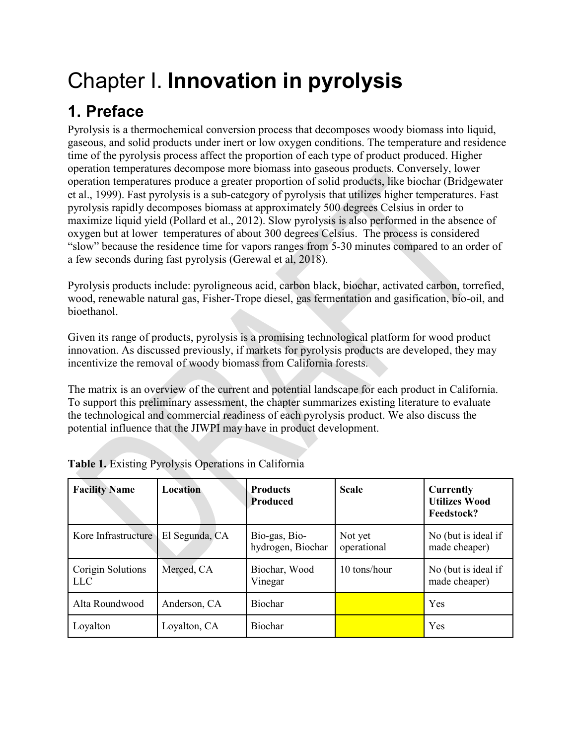# Chapter I. **Innovation in pyrolysis**

## **1. Preface**

Pyrolysis is a thermochemical conversion process that decomposes woody biomass into liquid, gaseous, and solid products under inert or low oxygen conditions. The temperature and residence time of the pyrolysis process affect the proportion of each type of product produced. Higher operation temperatures decompose more biomass into gaseous products. Conversely, lower operation temperatures produce a greater proportion of solid products, like biochar (Bridgewater et al., 1999). Fast pyrolysis is a sub-category of pyrolysis that utilizes higher temperatures. Fast pyrolysis rapidly decomposes biomass at approximately 500 degrees Celsius in order to maximize liquid yield (Pollard et al., 2012). Slow pyrolysis is also performed in the absence of oxygen but at lower temperatures of about 300 degrees Celsius. The process is considered "slow" because the residence time for vapors ranges from 5-30 minutes compared to an order of a few seconds during fast pyrolysis (Gerewal et al, 2018).

Pyrolysis products include: pyroligneous acid, carbon black, biochar, activated carbon, torrefied, wood, renewable natural gas, Fisher-Trope diesel, gas fermentation and gasification, bio-oil, and bioethanol.

Given its range of products, pyrolysis is a promising technological platform for wood product innovation. As discussed previously, if markets for pyrolysis products are developed, they may incentivize the removal of woody biomass from California forests.

The matrix is an overview of the current and potential landscape for each product in California. To support this preliminary assessment, the chapter summarizes existing literature to evaluate the technological and commercial readiness of each pyrolysis product. We also discuss the potential influence that the JIWPI may have in product development.

| <b>Facility Name</b>            | Location       | <b>Products</b><br><b>Produced</b> | <b>Scale</b>           | <b>Currently</b><br><b>Utilizes Wood</b><br>Feedstock? |
|---------------------------------|----------------|------------------------------------|------------------------|--------------------------------------------------------|
| Kore Infrastructure             | El Segunda, CA | Bio-gas, Bio-<br>hydrogen, Biochar | Not yet<br>operational | No (but is ideal if<br>made cheaper)                   |
| Corigin Solutions<br><b>LLC</b> | Merced, CA     | Biochar, Wood<br>Vinegar           | 10 tons/hour           | No (but is ideal if<br>made cheaper)                   |
| Alta Roundwood                  | Anderson, CA   | <b>Biochar</b>                     |                        | Yes                                                    |
| Loyalton                        | Loyalton, CA   | <b>Biochar</b>                     |                        | Yes                                                    |

| <b>Table 1.</b> Existing Pyrolysis Operations in California |  |  |
|-------------------------------------------------------------|--|--|
|-------------------------------------------------------------|--|--|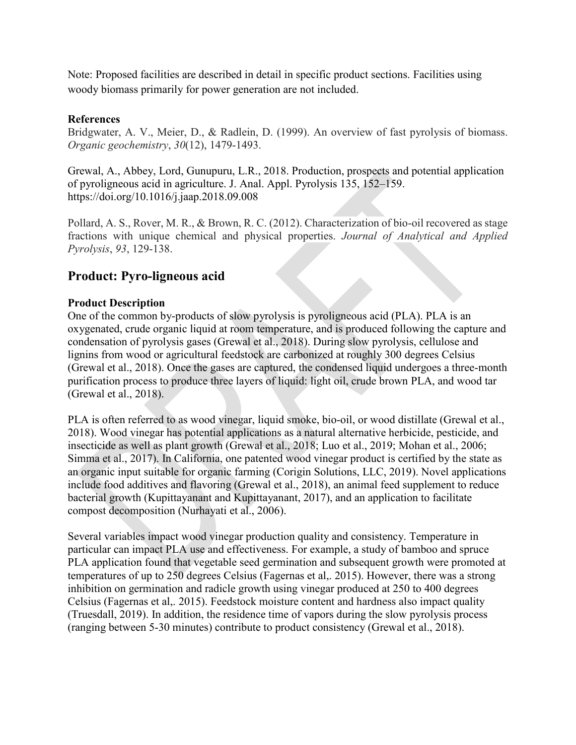Note: Proposed facilities are described in detail in specific product sections. Facilities using woody biomass primarily for power generation are not included.

## **References**

Bridgwater, A. V., Meier, D., & Radlein, D. (1999). An overview of fast pyrolysis of biomass. *Organic geochemistry*, *30*(12), 1479-1493.

[Grewal, A., Abbey, Lord, Gunupuru, L.R., 2018. Production, prospects and potential application](https://www.zotero.org/google-docs/?bTy1yG)  [of pyroligneous acid in agriculture. J. Anal. Appl. Pyrolysis 135, 152–159.](https://www.zotero.org/google-docs/?bTy1yG)  [https://doi.org/10.1016/j.jaap.2018.09.008](https://www.zotero.org/google-docs/?bTy1yG)

Pollard, A. S., Rover, M. R., & Brown, R. C. (2012). Characterization of bio-oil recovered as stage fractions with unique chemical and physical properties. *Journal of Analytical and Applied Pyrolysis*, *93*, 129-138.

## **Product: Pyro-ligneous acid**

## **Product Description**

One of the common by-products of slow pyrolysis is pyroligneous acid (PLA). PLA is an oxygenated, crude organic liquid at room temperature, and is produced following the capture and condensation of pyrolysis gases [\(Grewal et al., 2018\).](https://www.zotero.org/google-docs/?ecaN05) During slow pyrolysis, cellulose and lignins from wood or agricultural feedstock are carbonized at roughly 300 degrees Celsius (Grewal et al., 2018). Once the gases are captured, the condensed liquid undergoes a three-month purification process to produce three layers of liquid: light oil, crude brown PLA, and wood tar [\(Grewal et al., 2018\).](https://www.zotero.org/google-docs/?64jDNX)

PLA is often referred to as wood vinegar, liquid smoke, bio-oil, or wood distillate [\(Grewal et al.,](https://www.zotero.org/google-docs/?steLJ7)  [2018\).](https://www.zotero.org/google-docs/?steLJ7) Wood vinegar has potential applications as a natural alternative herbicide, pesticide, and insecticide as well as plant growth (Grewal et al., 2018; Luo et al., 2019; Mohan et al., 2006; Simma et al., 2017). In California, one patented wood vinegar product is certified by the state as an organic input suitable for organic farming [\(Corigin Solutions, LLC, 2019\).](https://www.zotero.org/google-docs/?1nPsvd) Novel applications include food additives and flavoring (Grewal et al., 2018), an animal feed supplement to reduce bacterial growth (Kupittayanant and Kupittayanant, 2017), and an application to facilitate compost decomposition (Nurhayati et al., 2006).

Several variables impact wood vinegar production quality and consistency. Temperature in particular can impact PLA use and effectiveness. For example, a study of bamboo and spruce PLA application found that vegetable seed germination and subsequent growth were promoted at temperatures of up to 250 degrees Celsius [\(Fagernas et al,. 2015\).](https://www.zotero.org/google-docs/?l8ZSBm) However, there was a strong inhibition on germination and radicle growth using vinegar produced at 250 to 400 degrees Celsius [\(Fagernas et al,. 2015\).](https://www.zotero.org/google-docs/?l8ZSBm) Feedstock moisture content and hardness also impact quality (Truesdall, 2019). In addition, the residence time of vapors during the slow pyrolysis process (ranging between 5-30 minutes) contribute to product consistency [\(Grewal et al., 2018\).](https://www.zotero.org/google-docs/?Zr5GcI)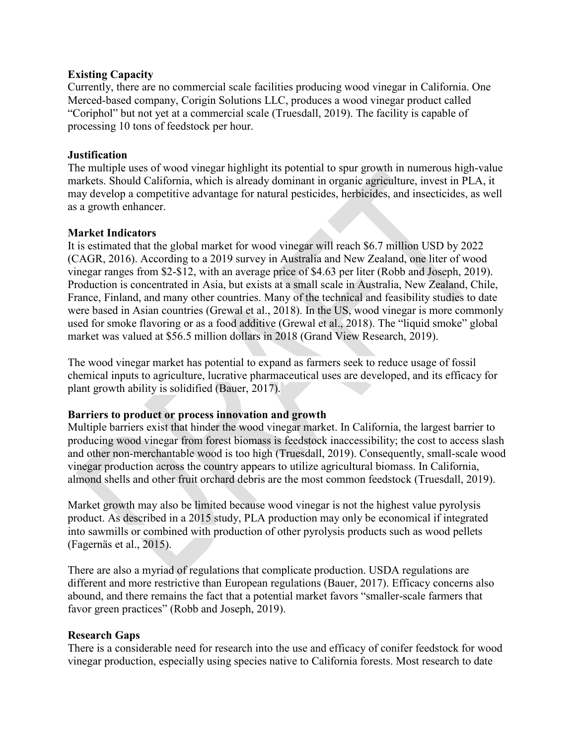#### **Existing Capacity**

Currently, there are no commercial scale facilities producing wood vinegar in California. One Merced-based company, Corigin Solutions LLC, produces a wood vinegar product called "Coriphol" but not yet at a commercial scale (Truesdall, 2019). The facility is capable of processing 10 tons of feedstock per hour.

## **Justification**

The multiple uses of wood vinegar highlight its potential to spur growth in numerous high-value markets. Should California, which is already dominant in organic agriculture, invest in PLA, it may develop a competitive advantage for natural pesticides, herbicides, and insecticides, as well as a growth enhancer.

#### **Market Indicators**

It is estimated that the global market for wood vinegar will reach \$6.7 million USD by 2022 (CAGR, 2016). According to a 2019 survey in Australia and New Zealand, one liter of wood vinegar ranges from \$2-\$12, with an average price of \$4.63 per liter (Robb and Joseph, 2019). Production is concentrated in Asia, but exists at a small scale in Australia, New Zealand, Chile, France, Finland, and many other countries. Many of the technical and feasibility studies to date were based in Asian countries [\(Grewal et al., 2018\).](https://www.zotero.org/google-docs/?Jp8HbR) In the US, wood vinegar is more commonly used for smoke flavoring or as a food additive [\(Grewal et al., 2018\).](https://www.zotero.org/google-docs/?JqUfLf) The "liquid smoke" global market was valued at \$56.5 million dollars in 2018 (Grand View Research, 2019).

The wood vinegar market has potential to expand as farmers seek to reduce usage of fossil chemical inputs to agriculture, lucrative pharmaceutical uses are developed, and its efficacy for plant growth ability is solidified [\(Bauer, 2017\).](https://www.zotero.org/google-docs/?IWO0tH)

## **Barriers to product or process innovation and growth**

Multiple barriers exist that hinder the wood vinegar market. In California, the largest barrier to producing wood vinegar from forest biomass is feedstock inaccessibility; the cost to access slash and other non-merchantable wood is too high [\(Truesdall, 2019\).](https://www.zotero.org/google-docs/?JzMx0m) Consequently, small-scale wood vinegar production across the country appears to utilize agricultural biomass. In California, almond shells and other fruit orchard debris are the most common feedstock [\(Truesdall, 2019\).](https://www.zotero.org/google-docs/?8zyjGh)

Market growth may also be limited because wood vinegar is not the highest value pyrolysis product. As described in a 2015 study, PLA production may only be economical if integrated into sawmills or combined with production of other pyrolysis products such as wood pellets [\(Fagernäs et al., 2015\).](https://www.zotero.org/google-docs/?i07kGy)

There are also a myriad of regulations that complicate production. USDA regulations are different and more restrictive than European regulations [\(Bauer, 2017\).](https://www.zotero.org/google-docs/?mQvNZi) Efficacy concerns also abound, and there remains the fact that a potential market favors "smaller-scale farmers that favor green practices" [\(Robb and Joseph, 2019\).](https://www.zotero.org/google-docs/?YOr86e)

## **Research Gaps**

There is a considerable need for research into the use and efficacy of conifer feedstock for wood vinegar production, especially using species native to California forests. Most research to date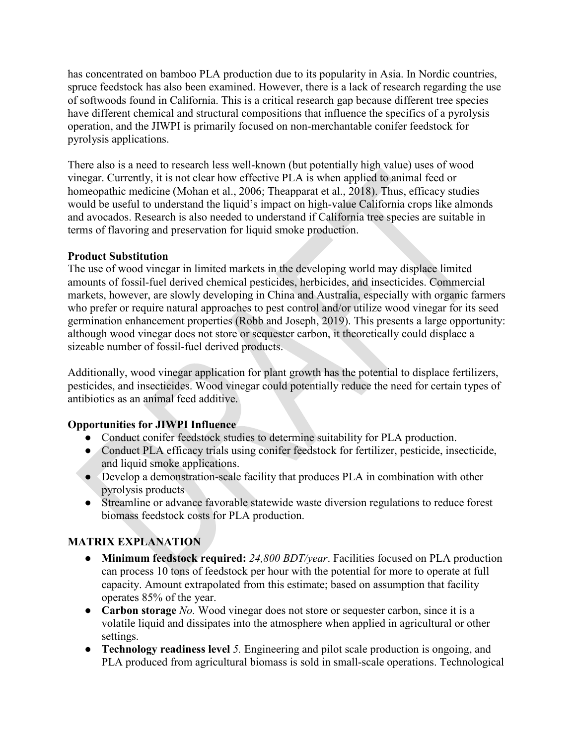has concentrated on bamboo PLA production due to its popularity in Asia. In Nordic countries, spruce feedstock has also been examined. However, there is a lack of research regarding the use of softwoods found in California. This is a critical research gap because different tree species have different chemical and structural compositions that influence the specifics of a pyrolysis operation, and the JIWPI is primarily focused on non-merchantable conifer feedstock for pyrolysis applications.

There also is a need to research less well-known (but potentially high value) uses of wood vinegar. Currently, it is not clear how effective PLA is when applied to animal feed or homeopathic medicine [\(Mohan et al., 2006; Theapparat et al., 2018\).](https://www.zotero.org/google-docs/?upd4Kp) Thus, efficacy studies would be useful to understand the liquid's impact on high-value California crops like almonds and avocados. Research is also needed to understand if California tree species are suitable in terms of flavoring and preservation for liquid smoke production.

## **Product Substitution**

The use of wood vinegar in limited markets in the developing world may displace limited amounts of fossil-fuel derived chemical pesticides, herbicides, and insecticides. Commercial markets, however, are slowly developing in China and Australia, especially with organic farmers who prefer or require natural approaches to pest control and/or utilize wood vinegar for its seed germination enhancement properties [\(Robb and Joseph, 2019\).](https://www.zotero.org/google-docs/?OJ45Bd) This presents a large opportunity: although wood vinegar does not store or sequester carbon, it theoretically could displace a sizeable number of fossil-fuel derived products.

Additionally, wood vinegar application for plant growth has the potential to displace fertilizers, pesticides, and insecticides. Wood vinegar could potentially reduce the need for certain types of antibiotics as an animal feed additive.

## **Opportunities for JIWPI Influence**

- Conduct conifer feedstock studies to determine suitability for PLA production.
- Conduct PLA efficacy trials using conifer feedstock for fertilizer, pesticide, insecticide, and liquid smoke applications.
- Develop a demonstration-scale facility that produces PLA in combination with other pyrolysis products
- Streamline or advance favorable statewide waste diversion regulations to reduce forest biomass feedstock costs for PLA production.

## **MATRIX EXPLANATION**

- **Minimum feedstock required:** *24,800 BDT/year*. Facilities focused on PLA production can process 10 tons of feedstock per hour with the potential for more to operate at full capacity. Amount extrapolated from this estimate; based on assumption that facility operates 85% of the year.
- **Carbon storage** *No.* Wood vinegar does not store or sequester carbon, since it is a volatile liquid and dissipates into the atmosphere when applied in agricultural or other settings.
- **Technology readiness level** *5.* Engineering and pilot scale production is ongoing, and PLA produced from agricultural biomass is sold in small-scale operations. Technological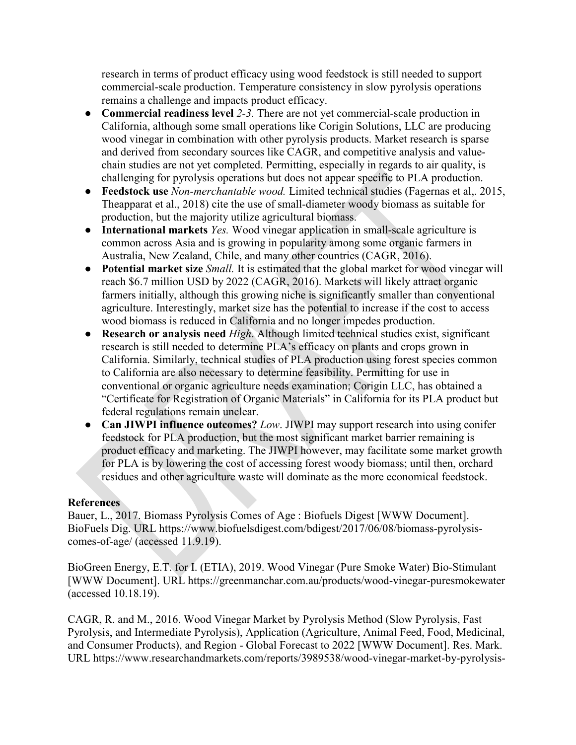research in terms of product efficacy using wood feedstock is still needed to support commercial-scale production. Temperature consistency in slow pyrolysis operations remains a challenge and impacts product efficacy.

- **Commercial readiness level** *2-3.* There are not yet commercial-scale production in California, although some small operations like Corigin Solutions, LLC are producing wood vinegar in combination with other pyrolysis products. Market research is sparse and derived from secondary sources like CAGR, and competitive analysis and valuechain studies are not yet completed. Permitting, especially in regards to air quality, is challenging for pyrolysis operations but does not appear specific to PLA production.
- **Feedstock use** *Non-merchantable wood.* Limited technical studies [\(Fagernas et al,. 2015,](https://www.zotero.org/google-docs/?l8ZSBm) [Theapparat et al., 2018\)](https://www.zotero.org/google-docs/?upd4Kp) cite the use of small-diameter woody biomass as suitable for production, but the majority utilize agricultural biomass.
- **International markets** *Yes.* Wood vinegar application in small-scale agriculture is common across Asia and is growing in popularity among some organic farmers in Australia, New Zealand, Chile, and many other countries [\(CAGR, 2016\).](https://www.zotero.org/google-docs/?ISYUZb)
- **Potential market size** *Small.* It is estimated that the global market for wood vinegar will reach \$6.7 million USD by 2022 [\(CAGR, 2016\).](https://www.zotero.org/google-docs/?POZ9qv) Markets will likely attract organic farmers initially, although this growing niche is significantly smaller than conventional agriculture. Interestingly, market size has the potential to increase if the cost to access wood biomass is reduced in California and no longer impedes production.
- **Research or analysis need** *High*. Although limited technical studies exist, significant research is still needed to determine PLA's efficacy on plants and crops grown in California. Similarly, technical studies of PLA production using forest species common to California are also necessary to determine feasibility. Permitting for use in conventional or organic agriculture needs examination; Corigin LLC, has obtained a "Certificate for Registration of Organic Materials" in California for its PLA product but federal regulations remain unclear.
- **Can JIWPI influence outcomes?** *Low*. JIWPI may support research into using conifer feedstock for PLA production, but the most significant market barrier remaining is product efficacy and marketing. The JIWPI however, may facilitate some market growth for PLA is by lowering the cost of accessing forest woody biomass; until then, orchard residues and other agriculture waste will dominate as the more economical feedstock.

## **References**

[Bauer, L., 2017. Biomass Pyrolysis Comes of Age : Biofuels Digest \[WWW Docum](https://www.zotero.org/google-docs/?bTy1yG)ent]. [BioFuels Dig. URL https://www.biofuelsdigest.com/bdigest/2017/06/08/biomass-pyrolysis](https://www.zotero.org/google-docs/?bTy1yG)[comes-of-age/ \(accessed 11.9.19\).](https://www.zotero.org/google-docs/?bTy1yG)

[BioGreen Energy, E.T. for I. \(ETIA\), 2019. Wood Vinegar \(Pure Smoke](https://www.zotero.org/google-docs/?bTy1yG) Water) Bio-Stimulant [\[WWW Document\]. URL https://greenmanchar.com.au/products/wood](https://www.zotero.org/google-docs/?bTy1yG)-vinegar-puresmokewater [\(accessed 10.18.19\).](https://www.zotero.org/google-docs/?bTy1yG)

[CAGR, R. and M., 2016. Wood Vinegar Market by Pyrolysis Method \(Slow Pyrolysis, Fast](https://www.zotero.org/google-docs/?bTy1yG)  [Pyrolysis, and Intermediate Pyrolysis\), Application \(Agriculture, Animal Feed, Food, Medicinal,](https://www.zotero.org/google-docs/?bTy1yG)  and Consumer Products), and Region - [Global Forecast to 2022 \[WWW Document\]. Res. Mark.](https://www.zotero.org/google-docs/?bTy1yG)  [URL https://www.researchandmarkets.com/reports/3989538/wood-vinegar-market-by-pyrolysis-](https://www.zotero.org/google-docs/?bTy1yG)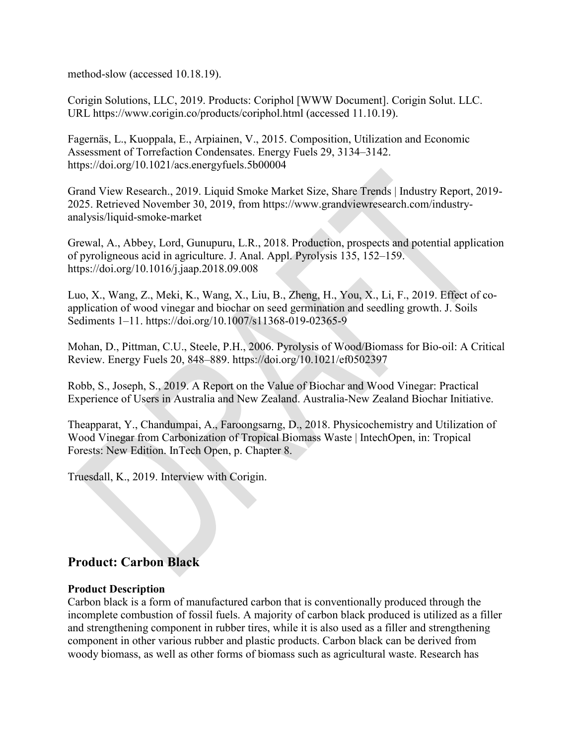[method-slow \(accessed 10.18.19\).](https://www.zotero.org/google-docs/?bTy1yG)

[Corigin Solutions, LLC, 2019. Products: Coriphol \[WWW Document\]. Corigin Solut. LLC.](https://www.zotero.org/google-docs/?bTy1yG)  [URL https://www.corigin.co/products/coriphol.html \(accessed 11.10.19\).](https://www.zotero.org/google-docs/?bTy1yG)

[Fagernäs, L., Kuoppala, E., Arpiainen, V., 2015. Composition, Utilization and Economic](https://www.zotero.org/google-docs/?bTy1yG)  [Assessment of Torrefaction Condensates. Energy Fuels 29, 3134–3142.](https://www.zotero.org/google-docs/?bTy1yG)  <https://doi.org/10.1021/acs.energyfuels.5b00004>

Grand View Research., 2019. Liquid Smoke Market Size, Share Trends | Industry Report, 2019- 2025. Retrieved November 30, 2019, from [https://www.grandviewresearch.com/industry](https://www.grandviewresearch.com/industry-analysis/liquid-smoke-market)[analysis/liquid-smoke-market](https://www.grandviewresearch.com/industry-analysis/liquid-smoke-market)

[Grewal, A., Abbey, Lord, Gunupuru, L.R., 2018. Production, prospects and potential application](https://www.zotero.org/google-docs/?bTy1yG)  [of pyroligneous acid in agriculture. J. Anal. Appl. Pyrolysis 135, 152–159.](https://www.zotero.org/google-docs/?bTy1yG)  [https://doi.org/10.1016/j.jaap.2018.09.008](https://www.zotero.org/google-docs/?bTy1yG)

[Luo, X., Wang, Z., Meki, K., Wang, X., Liu, B., Zheng, H., You, X., Li, F., 2019. Effect of co](https://www.zotero.org/google-docs/?bTy1yG)[application of wood vinegar and biochar on seed germination and seedling growth. J. Soils](https://www.zotero.org/google-docs/?bTy1yG)  [Sediments 1–11. https://doi.org/10.1007/s11368-019-02365-9](https://www.zotero.org/google-docs/?bTy1yG)

[Mohan, D., Pittman, C.U., Steele, P.H., 2006. Pyrolysis of Wood/Biomass for Bio-oil: A Critical](https://www.zotero.org/google-docs/?bTy1yG)  [Review. Energy Fuels 20, 848–889. https://doi.org/10.1021/ef0502397](https://www.zotero.org/google-docs/?bTy1yG)

[Robb, S., Joseph, S., 2019. A Report on the Value of Biochar and Wood Vinegar: Practical](https://www.zotero.org/google-docs/?bTy1yG)  [Experience of Users in Australia and New Zealand. Australia-New Zealand Biochar Initiative.](https://www.zotero.org/google-docs/?bTy1yG)

[Theapparat, Y., Chandumpai, A., Faroongsarng, D., 2018. Physicochemistry and Utilization of](https://www.zotero.org/google-docs/?bTy1yG)  [Wood Vinegar from Carbonization of Tropical Biomass Waste | IntechOpen, in: Tropical](https://www.zotero.org/google-docs/?bTy1yG)  [Forests: New Edition. InTech Open, p. Chapter 8.](https://www.zotero.org/google-docs/?bTy1yG)

[Truesdall, K., 2019. Interview with Corigin.](https://www.zotero.org/google-docs/?bTy1yG)

## **Product: Carbon Black**

## **Product Description**

Carbon black is a form of manufactured carbon that is conventionally produced through the incomplete combustion of fossil fuels. A majority of carbon black produced is utilized as a filler and strengthening component in rubber tires, while it is also used as a filler and strengthening component in other various rubber and plastic products. Carbon black can be derived from woody biomass, as well as other forms of biomass such as agricultural waste. Research has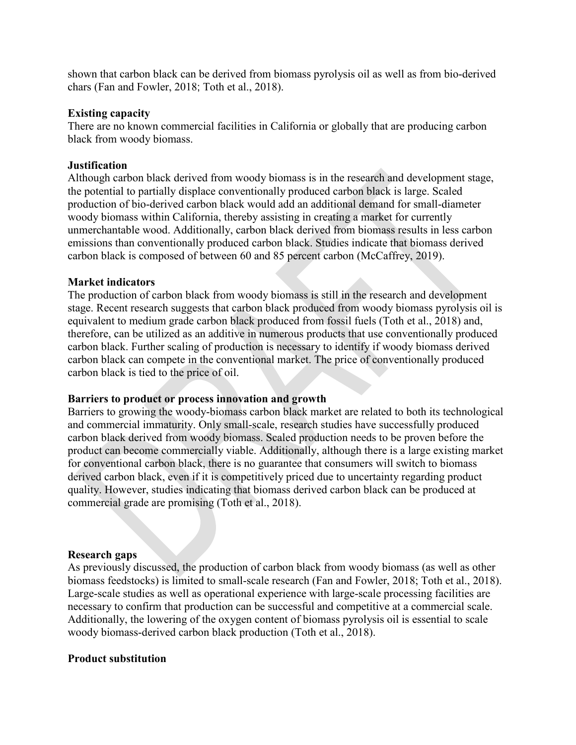shown that carbon black can be derived from biomass pyrolysis oil as well as from bio-derived chars [\(Fan and Fowler, 2018](https://www.zotero.org/google-docs/?KQyXuc); [Toth et al., 2018\).](https://www.zotero.org/google-docs/?KQyXuc)

#### **Existing capacity**

There are no known commercial facilities in California or globally that are producing carbon black from woody biomass.

#### **Justification**

Although carbon black derived from woody biomass is in the research and development stage, the potential to partially displace conventionally produced carbon black is large. Scaled production of bio-derived carbon black would add an additional demand for small-diameter woody biomass within California, thereby assisting in creating a market for currently unmerchantable wood. Additionally, carbon black derived from biomass results in less carbon emissions than conventionally produced carbon black. Studies indicate that biomass derived carbon black is composed of between 60 and 85 percent carbon [\(McCaffrey, 2019\).](https://www.zotero.org/google-docs/?tFFtYX)

#### **Market indicators**

The production of carbon black from woody biomass is still in the research and development stage. Recent research suggests that carbon black produced from woody biomass pyrolysis oil is equivalent to medium grade carbon black produced from fossil fuels [\(Toth et al., 2018\)](https://www.zotero.org/google-docs/?5NzOxo) and, therefore, can be utilized as an additive in numerous products that use conventionally produced carbon black. Further scaling of production is necessary to identify if woody biomass derived carbon black can compete in the conventional market. The price of conventionally produced carbon black is tied to the price of oil.

#### **Barriers to product or process innovation and growth**

Barriers to growing the woody-biomass carbon black market are related to both its technological and commercial immaturity. Only small-scale, research studies have successfully produced carbon black derived from woody biomass. Scaled production needs to be proven before the product can become commercially viable. Additionally, although there is a large existing market for conventional carbon black, there is no guarantee that consumers will switch to biomass derived carbon black, even if it is competitively priced due to uncertainty regarding product quality. However, studies indicating that biomass derived carbon black can be produced at commercial grade are promising [\(Toth et al., 2018\).](https://www.zotero.org/google-docs/?cDjRVo)

#### **Research gaps**

As previously discussed, the production of carbon black from woody biomass (as well as other biomass feedstocks) is limited to small-scale research [\(Fan and Fowler, 2018; Toth et al., 2018\).](https://www.zotero.org/google-docs/?gjCbJ5) Large-scale studies as well as operational experience with large-scale processing facilities are necessary to confirm that production can be successful and competitive at a commercial scale. Additionally, the lowering of the oxygen content of biomass pyrolysis oil is essential to scale woody biomass-derived carbon black production [\(Toth et al., 2018\).](https://www.zotero.org/google-docs/?BaD9XZ)

#### **Product substitution**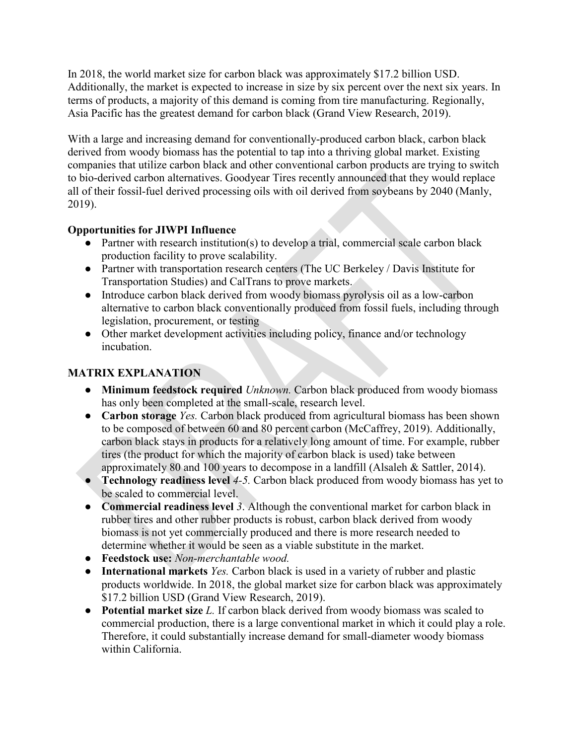In 2018, the world market size for carbon black was approximately \$17.2 billion USD. Additionally, the market is expected to increase in size by six percent over the next six years. In terms of products, a majority of this demand is coming from tire manufacturing. Regionally, Asia Pacific has the greatest demand for carbon black (Grand View Research, 2019).

With a large and increasing demand for conventionally-produced carbon black, carbon black derived from woody biomass has the potential to tap into a thriving global market. Existing companies that utilize carbon black and other conventional carbon products are trying to switch to bio-derived carbon alternatives. Goodyear Tires recently announced that they would replace all of their fossil-fuel derived processing oils with oil derived from soybeans by 2040 (Manly, 2019).

## **Opportunities for JIWPI Influence**

- Partner with research institution(s) to develop a trial, commercial scale carbon black production facility to prove scalability.
- Partner with transportation research centers (The UC Berkeley / Davis Institute for Transportation Studies) and CalTrans to prove markets.
- Introduce carbon black derived from woody biomass pyrolysis oil as a low-carbon alternative to carbon black conventionally produced from fossil fuels, including through legislation, procurement, or testing
- Other market development activities including policy, finance and/or technology incubation.

## **MATRIX EXPLANATION**

- **Minimum feedstock required** *Unknown.* Carbon black produced from woody biomass has only been completed at the small-scale, research level.
- **Carbon storage** *Yes.* Carbon black produced from agricultural biomass has been shown to be composed of between 60 and 80 percent carbon [\(McCaffrey, 2019\).](https://www.zotero.org/google-docs/?0qWlVi) Additionally, carbon black stays in products for a relatively long amount of time. For example, rubber tires (the product for which the majority of carbon black is used) take between approximately 80 and 100 years to decompose in a landfill (Alsaleh & Sattler, 2014).
- **Technology readiness level** *4-5.* Carbon black produced from woody biomass has yet to be scaled to commercial level.
- **Commercial readiness level** *3*. Although the conventional market for carbon black in rubber tires and other rubber products is robust, carbon black derived from woody biomass is not yet commercially produced and there is more research needed to determine whether it would be seen as a viable substitute in the market.
- **Feedstock use:** *Non-merchantable wood.*
- **International markets** *Yes.* Carbon black is used in a variety of rubber and plastic products worldwide. In 2018, the global market size for carbon black was approximately \$17.2 billion USD [\(Grand View Research, 2019\).](https://www.zotero.org/google-docs/?ZXDRWV)
- **Potential market size** *L.* If carbon black derived from woody biomass was scaled to commercial production, there is a large conventional market in which it could play a role. Therefore, it could substantially increase demand for small-diameter woody biomass within California.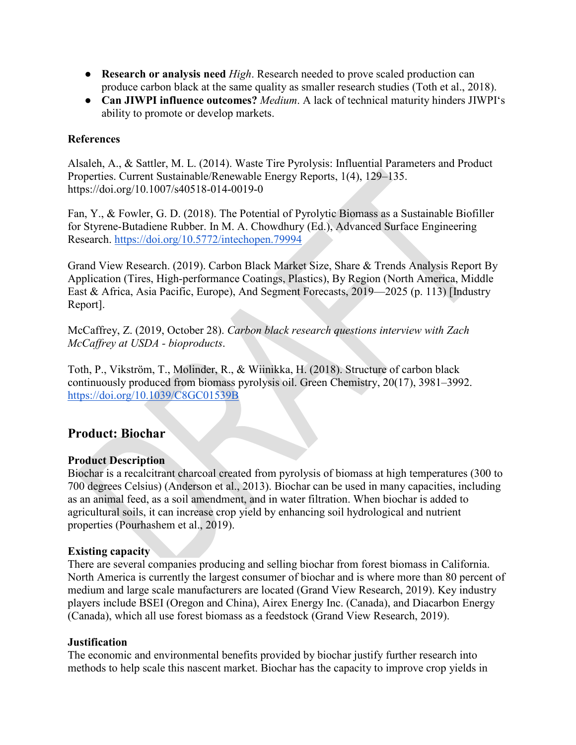- **Research or analysis need** *High*. Research needed to prove scaled production can produce carbon black at the same quality as smaller research studies [\(Toth et al., 2018\).](https://www.zotero.org/google-docs/?5rwBT6)
- **Can JIWPI influence outcomes?** *Medium*. A lack of technical maturity hinders JIWPI's ability to promote or develop markets.

## **References**

Alsaleh, A., & Sattler, M. L. (2014). Waste Tire Pyrolysis: Influential Parameters and Product Properties. Current Sustainable/Renewable Energy Reports, 1(4), 129–135. https://doi.org/10.1007/s40518-014-0019-0

Fan, Y., & Fowler, G. D. (2018). The Potential of Pyrolytic Biomass as a Sustainable Biofiller for Styrene-Butadiene Rubber. In M. A. Chowdhury (Ed.), Advanced Surface Engineering Research.<https://doi.org/10.5772/intechopen.79994>

Grand View Research. (2019). Carbon Black Market Size, Share & Trends Analysis Report By Application (Tires, High-performance Coatings, Plastics), By Region (North America, Middle East & Africa, Asia Pacific, Europe), And Segment Forecasts, 2019—2025 (p. 113) [Industry Report].

McCaffrey, Z. (2019, October 28). *Carbon black research questions interview with Zach McCaffrey at USDA - bioproducts*.

Toth, P., Vikström, T., Molinder, R., & Wiinikka, H. (2018). Structure of carbon black continuously produced from biomass pyrolysis oil. Green Chemistry, 20(17), 3981–3992. <https://doi.org/10.1039/C8GC01539B>

## **Product: Biochar**

## **Product Description**

Biochar is a recalcitrant charcoal created from pyrolysis of biomass at high temperatures (300 to 700 degrees Celsius) (Anderson et al., 2013). Biochar can be used in many capacities, including as an animal feed, as a soil amendment, and in water filtration. When biochar is added to agricultural soils, it can increase crop yield by enhancing soil hydrological and nutrient properties (Pourhashem et al., 2019).

## **Existing capacity**

There are several companies producing and selling biochar from forest biomass in California. North America is currently the largest consumer of biochar and is where more than 80 percent of medium and large scale manufacturers are located (Grand View Research, 2019). Key industry players include BSEI (Oregon and China), Airex Energy Inc. (Canada), and Diacarbon Energy (Canada), which all use forest biomass as a feedstock (Grand View Research, 2019).

#### **Justification**

The economic and environmental benefits provided by biochar justify further research into methods to help scale this nascent market. Biochar has the capacity to improve crop yields in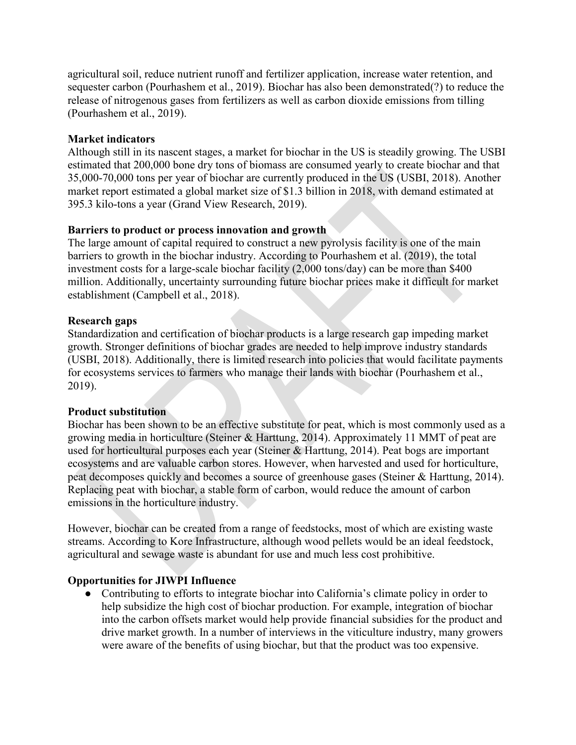agricultural soil, reduce nutrient runoff and fertilizer application, increase water retention, and sequester carbon (Pourhashem et al., 2019). Biochar has also been demonstrated(?) to reduce the release of nitrogenous gases from fertilizers as well as carbon dioxide emissions from tilling (Pourhashem et al., 2019).

#### **Market indicators**

Although still in its nascent stages, a market for biochar in the US is steadily growing. The USBI estimated that 200,000 bone dry tons of biomass are consumed yearly to create biochar and that 35,000-70,000 tons per year of biochar are currently produced in the US (USBI, 2018). Another market report estimated a global market size of \$1.3 billion in 2018, with demand estimated at 395.3 kilo-tons a year (Grand View Research, 2019).

#### **Barriers to product or process innovation and growth**

The large amount of capital required to construct a new pyrolysis facility is one of the main barriers to growth in the biochar industry. According to Pourhashem et al. (2019), the total investment costs for a large-scale biochar facility (2,000 tons/day) can be more than \$400 million. Additionally, uncertainty surrounding future biochar prices make it difficult for market establishment (Campbell et al., 2018).

#### **Research gaps**

Standardization and certification of biochar products is a large research gap impeding market growth. Stronger definitions of biochar grades are needed to help improve industry standards (USBI, 2018). Additionally, there is limited research into policies that would facilitate payments for ecosystems services to farmers who manage their lands with biochar (Pourhashem et al., 2019).

#### **Product substitution**

Biochar has been shown to be an effective substitute for peat, which is most commonly used as a growing media in horticulture (Steiner & Harttung, 2014). Approximately 11 MMT of peat are used for horticultural purposes each year (Steiner & Harttung, 2014). Peat bogs are important ecosystems and are valuable carbon stores. However, when harvested and used for horticulture, peat decomposes quickly and becomes a source of greenhouse gases (Steiner & Harttung, 2014). Replacing peat with biochar, a stable form of carbon, would reduce the amount of carbon emissions in the horticulture industry.

However, biochar can be created from a range of feedstocks, most of which are existing waste streams. According to Kore Infrastructure, although wood pellets would be an ideal feedstock, agricultural and sewage waste is abundant for use and much less cost prohibitive.

## **Opportunities for JIWPI Influence**

● Contributing to efforts to integrate biochar into California's climate policy in order to help subsidize the high cost of biochar production. For example, integration of biochar into the carbon offsets market would help provide financial subsidies for the product and drive market growth. In a number of interviews in the viticulture industry, many growers were aware of the benefits of using biochar, but that the product was too expensive.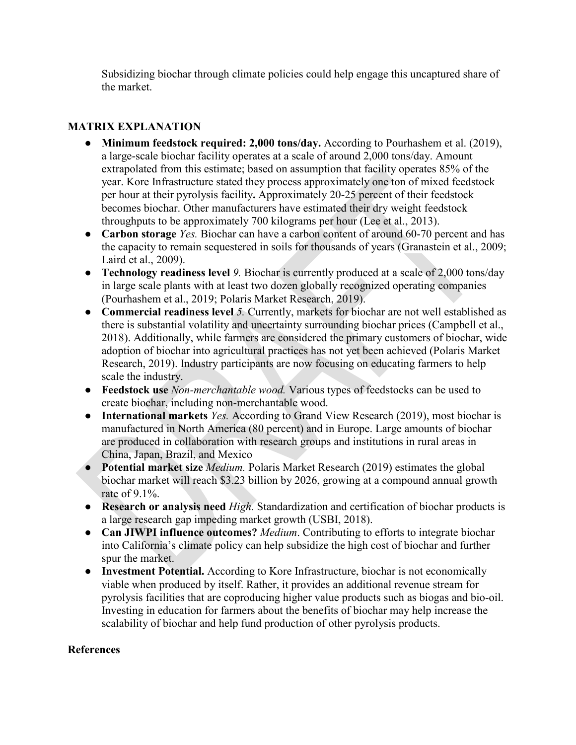Subsidizing biochar through climate policies could help engage this uncaptured share of the market.

## **MATRIX EXPLANATION**

- **Minimum feedstock required: 2,000 tons/day.** According to Pourhashem et al. (2019), a large-scale biochar facility operates at a scale of around 2,000 tons/day. Amount extrapolated from this estimate; based on assumption that facility operates 85% of the year. Kore Infrastructure stated they process approximately one ton of mixed feedstock per hour at their pyrolysis facility**.** Approximately 20-25 percent of their feedstock becomes biochar. Other manufacturers have estimated their dry weight feedstock throughputs to be approximately 700 kilograms per hour (Lee et al., 2013).
- **Carbon storage** *Yes.* Biochar can have a carbon content of around 60-70 percent and has the capacity to remain sequestered in soils for thousands of years (Granastein et al., 2009; Laird et al., 2009).
- **Technology readiness level** *9.* Biochar is currently produced at a scale of 2,000 tons/day in large scale plants with at least two dozen globally recognized operating companies (Pourhashem et al., 2019; Polaris Market Research, 2019).
- **Commercial readiness level** *5.* Currently, markets for biochar are not well established as there is substantial volatility and uncertainty surrounding biochar prices (Campbell et al., 2018). Additionally, while farmers are considered the primary customers of biochar, wide adoption of biochar into agricultural practices has not yet been achieved (Polaris Market Research, 2019). Industry participants are now focusing on educating farmers to help scale the industry.
- **Feedstock use** *Non-merchantable wood.* Various types of feedstocks can be used to create biochar, including non-merchantable wood.
- **International markets** *Yes.* According to Grand View Research (2019), most biochar is manufactured in North America (80 percent) and in Europe. Large amounts of biochar are produced in collaboration with research groups and institutions in rural areas in China, Japan, Brazil, and Mexico
- **Potential market size** *Medium.* Polaris Market Research (2019) estimates the global biochar market will reach \$3.23 billion by 2026, growing at a compound annual growth rate of 9.1%.
- **Research or analysis need** *High.* Standardization and certification of biochar products is a large research gap impeding market growth (USBI, 2018).
- **Can JIWPI influence outcomes?** *Medium*. Contributing to efforts to integrate biochar into California's climate policy can help subsidize the high cost of biochar and further spur the market.
- **Investment Potential.** According to Kore Infrastructure, biochar is not economically viable when produced by itself. Rather, it provides an additional revenue stream for pyrolysis facilities that are coproducing higher value products such as biogas and bio-oil. Investing in education for farmers about the benefits of biochar may help increase the scalability of biochar and help fund production of other pyrolysis products.

## **References**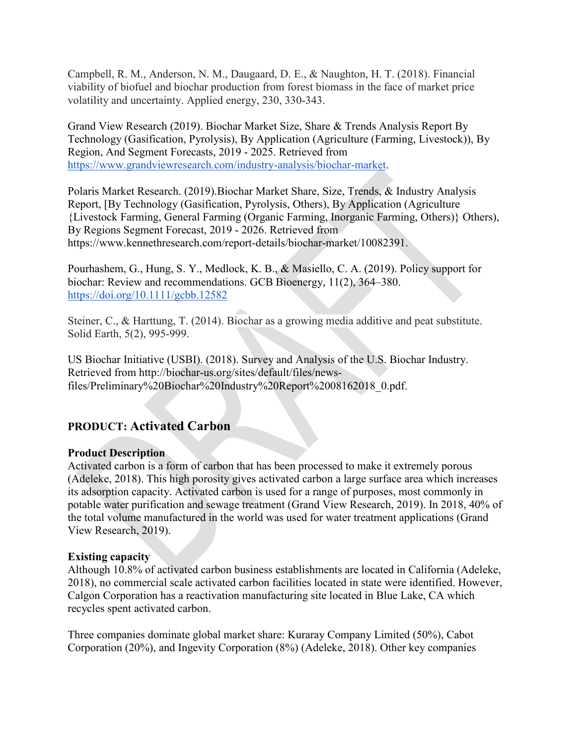Campbell, R. M., Anderson, N. M., Daugaard, D. E., & Naughton, H. T. (2018). Financial viability of biofuel and biochar production from forest biomass in the face of market price volatility and uncertainty. Applied energy, 230, 330-343.

Grand View Research (2019). Biochar Market Size, Share & Trends Analysis Report By Technology (Gasification, Pyrolysis), By Application (Agriculture (Farming, Livestock)), By Region, And Segment Forecasts, 2019 - 2025. Retrieved from [https://www.grandviewresearch.com/industry-analysis/biochar-market.](https://www.grandviewresearch.com/industry-analysis/biochar-market)

Polaris Market Research. (2019).Biochar Market Share, Size, Trends, & Industry Analysis Report, [By Technology (Gasification, Pyrolysis, Others), By Application (Agriculture {Livestock Farming, General Farming (Organic Farming, Inorganic Farming, Others)} Others), By Regions Segment Forecast, 2019 - 2026. Retrieved from https://www.kennethresearch.com/report-details/biochar-market/10082391.

Pourhashem, G., Hung, S. Y., Medlock, K. B., & Masiello, C. A. (2019). Policy support for biochar: Review and recommendations. GCB Bioenergy, 11(2), 364–380[.](https://doi.org/10.1111/gcbb.12582) <https://doi.org/10.1111/gcbb.12582>

Steiner, C., & Harttung, T. (2014). Biochar as a growing media additive and peat substitute. Solid Earth, 5(2), 995-999.

US Biochar Initiative (USBI). (2018). Survey and Analysis of the U.S. Biochar Industry. Retrieved from http://biochar-us.org/sites/default/files/newsfiles/Preliminary%20Biochar%20Industry%20Report%2008162018\_0.pdf.

## **PRODUCT: Activated Carbon**

## **Product Description**

Activated carbon is a form of carbon that has been processed to make it extremely porous (Adeleke, 2018). This high porosity gives activated carbon a large surface area which increases its adsorption capacity. Activated carbon is used for a range of purposes, most commonly in potable water purification and sewage treatment (Grand View Research, 2019). In 2018, 40% of the total volume manufactured in the world was used for water treatment applications (Grand View Research, 2019).

## **Existing capacity**

Although 10.8% of activated carbon business establishments are located in California (Adeleke, 2018), no commercial scale activated carbon facilities located in state were identified. However, Calgon Corporation has a reactivation manufacturing site located in Blue Lake, CA which recycles spent activated carbon.

Three companies dominate global market share: Kuraray Company Limited (50%), Cabot Corporation (20%), and Ingevity Corporation (8%) (Adeleke, 2018). Other key companies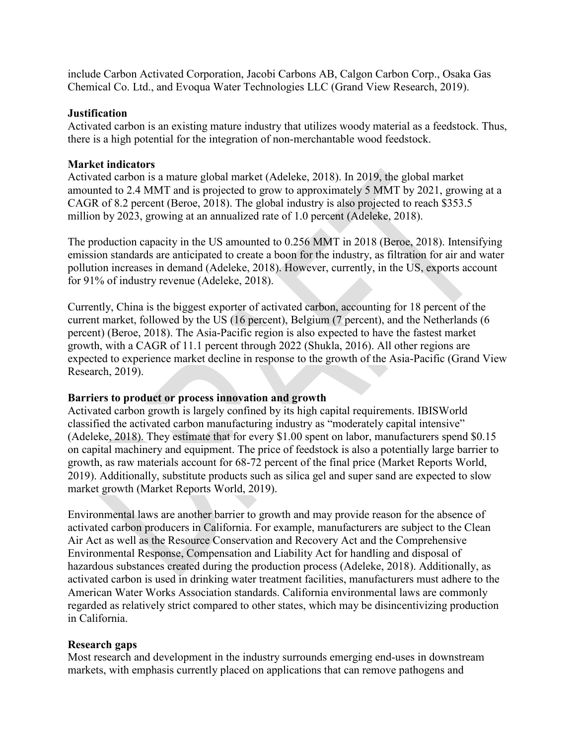include Carbon Activated Corporation, Jacobi Carbons AB, Calgon Carbon Corp., Osaka Gas Chemical Co. Ltd., and Evoqua Water Technologies LLC (Grand View Research, 2019).

#### **Justification**

Activated carbon is an existing mature industry that utilizes woody material as a feedstock. Thus, there is a high potential for the integration of non-merchantable wood feedstock.

#### **Market indicators**

Activated carbon is a mature global market (Adeleke, 2018). In 2019, the global market amounted to 2.4 MMT and is projected to grow to approximately 5 MMT by 2021, growing at a CAGR of 8.2 percent (Beroe, 2018). The global industry is also projected to reach \$353.5 million by 2023, growing at an annualized rate of 1.0 percent (Adeleke, 2018).

The production capacity in the US amounted to 0.256 MMT in 2018 (Beroe, 2018). Intensifying emission standards are anticipated to create a boon for the industry, as filtration for air and water pollution increases in demand (Adeleke, 2018). However, currently, in the US, exports account for 91% of industry revenue (Adeleke, 2018).

Currently, China is the biggest exporter of activated carbon, accounting for 18 percent of the current market, followed by the US (16 percent), Belgium (7 percent), and the Netherlands (6 percent) (Beroe, 2018). The Asia-Pacific region is also expected to have the fastest market growth, with a CAGR of 11.1 percent through 2022 (Shukla, 2016). All other regions are expected to experience market decline in response to the growth of the Asia-Pacific (Grand View Research, 2019).

#### **Barriers to product or process innovation and growth**

Activated carbon growth is largely confined by its high capital requirements. IBISWorld classified the activated carbon manufacturing industry as "moderately capital intensive" (Adeleke, 2018). They estimate that for every \$1.00 spent on labor, manufacturers spend \$0.15 on capital machinery and equipment. The price of feedstock is also a potentially large barrier to growth, as raw materials account for 68-72 percent of the final price (Market Reports World, 2019). Additionally, substitute products such as silica gel and super sand are expected to slow market growth (Market Reports World, 2019).

Environmental laws are another barrier to growth and may provide reason for the absence of activated carbon producers in California. For example, manufacturers are subject to the Clean Air Act as well as the Resource Conservation and Recovery Act and the Comprehensive Environmental Response, Compensation and Liability Act for handling and disposal of hazardous substances created during the production process (Adeleke, 2018). Additionally, as activated carbon is used in drinking water treatment facilities, manufacturers must adhere to the American Water Works Association standards. California environmental laws are commonly regarded as relatively strict compared to other states, which may be disincentivizing production in California.

#### **Research gaps**

Most research and development in the industry surrounds emerging end-uses in downstream markets, with emphasis currently placed on applications that can remove pathogens and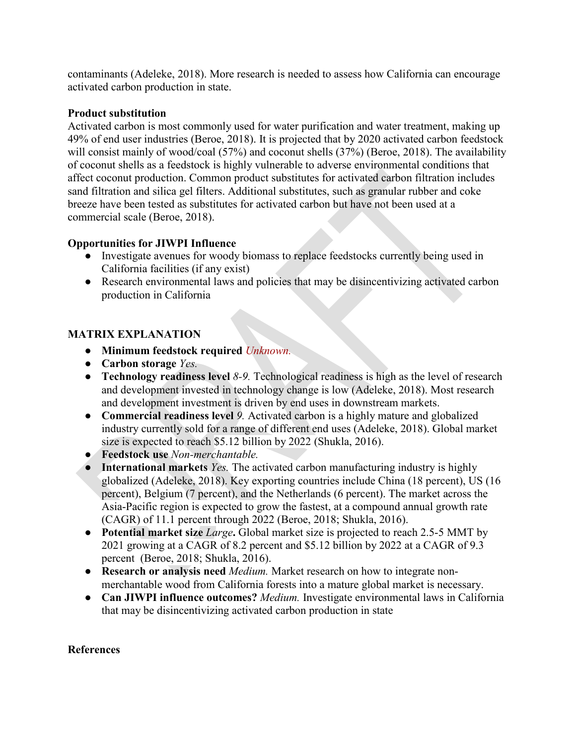contaminants (Adeleke, 2018). More research is needed to assess how California can encourage activated carbon production in state.

## **Product substitution**

Activated carbon is most commonly used for water purification and water treatment, making up 49% of end user industries (Beroe, 2018). It is projected that by 2020 activated carbon feedstock will consist mainly of wood/coal (57%) and coconut shells (37%) (Beroe, 2018). The availability of coconut shells as a feedstock is highly vulnerable to adverse environmental conditions that affect coconut production. Common product substitutes for activated carbon filtration includes sand filtration and silica gel filters. Additional substitutes, such as granular rubber and coke breeze have been tested as substitutes for activated carbon but have not been used at a commercial scale (Beroe, 2018).

## **Opportunities for JIWPI Influence**

- Investigate avenues for woody biomass to replace feedstocks currently being used in California facilities (if any exist)
- Research environmental laws and policies that may be disincentivizing activated carbon production in California

## **MATRIX EXPLANATION**

- **Minimum feedstock required** *Unknown.*
- **Carbon storage** *Yes.*
- **Technology readiness level 8-9.** Technological readiness is high as the level of research and development invested in technology change is low (Adeleke, 2018). Most research and development investment is driven by end uses in downstream markets.
- **Commercial readiness level** *9.* Activated carbon is a highly mature and globalized industry currently sold for a range of different end uses (Adeleke, 2018). Global market size is expected to reach \$5.12 billion by 2022 (Shukla, 2016).
- **Feedstock use** *Non-merchantable.*
- **International markets** *Yes.* The activated carbon manufacturing industry is highly globalized (Adeleke, 2018). Key exporting countries include China (18 percent), US (16 percent), Belgium (7 percent), and the Netherlands (6 percent). The market across the Asia-Pacific region is expected to grow the fastest, at a compound annual growth rate (CAGR) of 11.1 percent through 2022 (Beroe, 2018; Shukla, 2016).
- **Potential market size** *Large***.** Global market size is projected to reach 2.5-5 MMT by 2021 growing at a CAGR of 8.2 percent and \$5.12 billion by 2022 at a CAGR of 9.3 percent (Beroe, 2018; Shukla, 2016).
- **Research or analysis need** *Medium.* Market research on how to integrate nonmerchantable wood from California forests into a mature global market is necessary.
- **Can JIWPI influence outcomes?** *Medium.* Investigate environmental laws in California that may be disincentivizing activated carbon production in state

#### **References**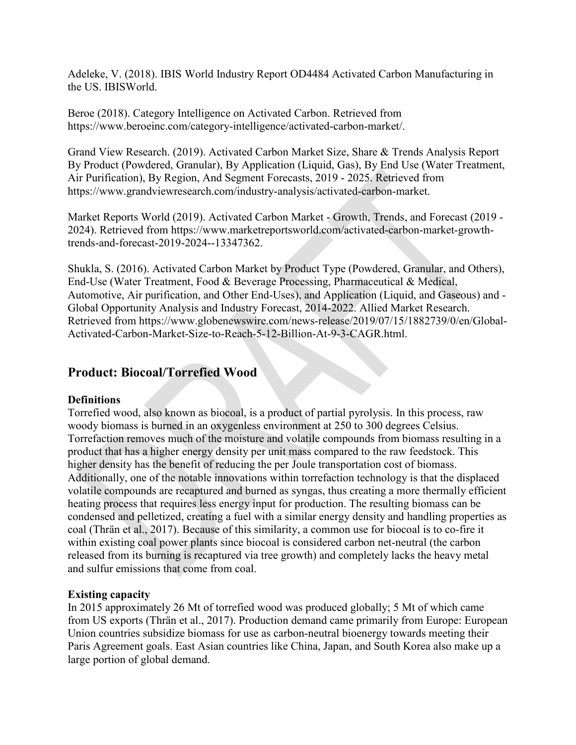Adeleke, V. (2018). IBIS World Industry Report OD4484 Activated Carbon Manufacturing in the US. IBISWorld.

Beroe (2018). Category Intelligence on Activated Carbon. Retrieved from [https://www.beroeinc.com/category-intelligence/activated-carbon-market/.](https://www.beroeinc.com/category-intelligence/activated-carbon-market/)

Grand View Research. (2019). Activated Carbon Market Size, Share & Trends Analysis Report By Product (Powdered, Granular), By Application (Liquid, Gas), By End Use (Water Treatment, Air Purification), By Region, And Segment Forecasts, 2019 - 2025. Retrieved from [https://www.grandviewresearch.com/industry-analysis/activated-carbon-market.](https://www.grandviewresearch.com/industry-analysis/activated-carbon-market)

Market Reports World (2019). Activated Carbon Market - Growth, Trends, and Forecast (2019 - 2024). Retrieved from [https://www.marketreportsworld.com/activated-carbon-market-growth](https://www.marketreportsworld.com/activated-carbon-market-growth-trends-and-forecast-2019-2024--13347362)[trends-and-forecast-2019-2024--13347362.](https://www.marketreportsworld.com/activated-carbon-market-growth-trends-and-forecast-2019-2024--13347362)

Shukla, S. (2016). Activated Carbon Market by Product Type (Powdered, Granular, and Others), End-Use (Water Treatment, Food & Beverage Processing, Pharmaceutical & Medical, Automotive, Air purification, and Other End-Uses), and Application (Liquid, and Gaseous) and - Global Opportunity Analysis and Industry Forecast, 2014-2022. Allied Market Research. Retrieved from [https://www.globenewswire.com/news-release/2019/07/15/1882739/0/en/Global-](https://www.globenewswire.com/news-release/2019/07/15/1882739/0/en/Global-Activated-Carbon-Market-Size-to-Reach-5-12-Billion-At-9-3-CAGR.html)[Activated-Carbon-Market-Size-to-Reach-5-12-Billion-At-9-3-CAGR.html.](https://www.globenewswire.com/news-release/2019/07/15/1882739/0/en/Global-Activated-Carbon-Market-Size-to-Reach-5-12-Billion-At-9-3-CAGR.html)

## **Product: Biocoal/Torrefied Wood**

## **Definitions**

Torrefied wood, also known as biocoal, is a product of partial pyrolysis. In this process, raw woody biomass is burned in an oxygenless environment at 250 to 300 degrees Celsius. Torrefaction removes much of the moisture and volatile compounds from biomass resulting in a product that has a higher energy density per unit mass compared to the raw feedstock. This higher density has the benefit of reducing the per Joule transportation cost of biomass. Additionally, one of the notable innovations within torrefaction technology is that the displaced volatile compounds are recaptured and burned as syngas, thus creating a more thermally efficient heating process that requires less energy input for production. The resulting biomass can be condensed and pelletized, creating a fuel with a similar energy density and handling properties as coal (Thrän et al., 2017). Because of this similarity, a common use for biocoal is to co-fire it within existing coal power plants since biocoal is considered carbon net-neutral (the carbon released from its burning is recaptured via tree growth) and completely lacks the heavy metal and sulfur emissions that come from coal.

## **Existing capacity**

In 2015 approximately 26 Mt of torrefied wood was produced globally; 5 Mt of which came from US exports (Thrän et al., 2017). Production demand came primarily from Europe: European Union countries subsidize biomass for use as carbon-neutral bioenergy towards meeting their Paris Agreement goals. East Asian countries like China, Japan, and South Korea also make up a large portion of global demand.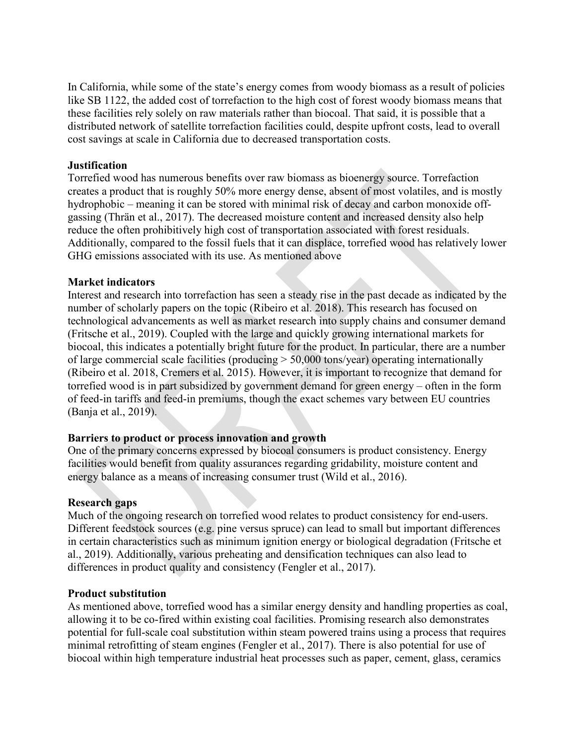In California, while some of the state's energy comes from woody biomass as a result of policies like SB 1122, the added cost of torrefaction to the high cost of forest woody biomass means that these facilities rely solely on raw materials rather than biocoal. That said, it is possible that a distributed network of satellite torrefaction facilities could, despite upfront costs, lead to overall cost savings at scale in California due to decreased transportation costs.

#### **Justification**

Torrefied wood has numerous benefits over raw biomass as bioenergy source. Torrefaction creates a product that is roughly 50% more energy dense, absent of most volatiles, and is mostly hydrophobic – meaning it can be stored with minimal risk of decay and carbon monoxide offgassing (Thrän et al., 2017). The decreased moisture content and increased density also help reduce the often prohibitively high cost of transportation associated with forest residuals. Additionally, compared to the fossil fuels that it can displace, torrefied wood has relatively lower GHG emissions associated with its use. As mentioned above

#### **Market indicators**

Interest and research into torrefaction has seen a steady rise in the past decade as indicated by the number of scholarly papers on the topic (Ribeiro et al. 2018). This research has focused on technological advancements as well as market research into supply chains and consumer demand (Fritsche et al., 2019). Coupled with the large and quickly growing international markets for biocoal, this indicates a potentially bright future for the product. In particular, there are a number of large commercial scale facilities (producing > 50,000 tons/year) operating internationally (Ribeiro et al. 2018, Cremers et al. 2015). However, it is important to recognize that demand for torrefied wood is in part subsidized by government demand for green energy – often in the form of feed-in tariffs and feed-in premiums, though the exact schemes vary between EU countries (Banja et al., 2019).

#### **Barriers to product or process innovation and growth**

One of the primary concerns expressed by biocoal consumers is product consistency. Energy facilities would benefit from quality assurances regarding gridability, moisture content and energy balance as a means of increasing consumer trust (Wild et al., 2016).

#### **Research gaps**

Much of the ongoing research on torrefied wood relates to product consistency for end-users. Different feedstock sources (e.g. pine versus spruce) can lead to small but important differences in certain characteristics such as minimum ignition energy or biological degradation (Fritsche et al., 2019). Additionally, various preheating and densification techniques can also lead to differences in product quality and consistency (Fengler et al., 2017).

#### **Product substitution**

As mentioned above, torrefied wood has a similar energy density and handling properties as coal, allowing it to be co-fired within existing coal facilities. Promising research also demonstrates potential for full-scale coal substitution within steam powered trains using a process that requires minimal retrofitting of steam engines (Fengler et al., 2017). There is also potential for use of biocoal within high temperature industrial heat processes such as paper, cement, glass, ceramics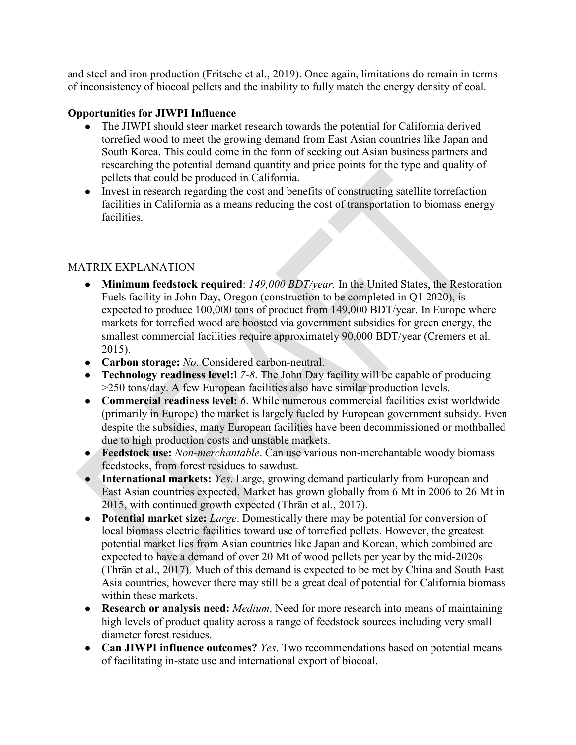and steel and iron production (Fritsche et al., 2019). Once again, limitations do remain in terms of inconsistency of biocoal pellets and the inability to fully match the energy density of coal.

## **Opportunities for JIWPI Influence**

- The JIWPI should steer market research towards the potential for California derived torrefied wood to meet the growing demand from East Asian countries like Japan and South Korea. This could come in the form of seeking out Asian business partners and researching the potential demand quantity and price points for the type and quality of pellets that could be produced in California.
- Invest in research regarding the cost and benefits of constructing satellite torrefaction facilities in California as a means reducing the cost of transportation to biomass energy facilities.

## MATRIX EXPLANATION

- **Minimum feedstock required**: *149,000 BDT/year.* In the United States, the Restoration Fuels facility in John Day, Oregon (construction to be completed in Q1 2020), is expected to produce 100,000 tons of product from 149,000 BDT/year. In Europe where markets for torrefied wood are boosted via government subsidies for green energy, the smallest commercial facilities require approximately 90,000 BDT/year (Cremers et al. 2015).
- **Carbon storage:** *No*. Considered carbon-neutral.
- **Technology readiness level:**l *7-8*. The John Day facility will be capable of producing >250 tons/day. A few European facilities also have similar production levels.
- **Commercial readiness level:** *6*. While numerous commercial facilities exist worldwide (primarily in Europe) the market is largely fueled by European government subsidy. Even despite the subsidies, many European facilities have been decommissioned or mothballed due to high production costs and unstable markets.
- **Feedstock use:** *Non-merchantable*. Can use various non-merchantable woody biomass feedstocks, from forest residues to sawdust.
- **International markets:** *Yes*. Large, growing demand particularly from European and East Asian countries expected. Market has grown globally from 6 Mt in 2006 to 26 Mt in 2015, with continued growth expected (Thrän et al., 2017).
- **Potential market size:** *Large*. Domestically there may be potential for conversion of local biomass electric facilities toward use of torrefied pellets. However, the greatest potential market lies from Asian countries like Japan and Korean, which combined are expected to have a demand of over 20 Mt of wood pellets per year by the mid-2020s (Thrän et al., 2017). Much of this demand is expected to be met by China and South East Asia countries, however there may still be a great deal of potential for California biomass within these markets.
- **Research or analysis need:** *Medium*. Need for more research into means of maintaining high levels of product quality across a range of feedstock sources including very small diameter forest residues.
- **Can JIWPI influence outcomes?** *Yes*. Two recommendations based on potential means of facilitating in-state use and international export of biocoal.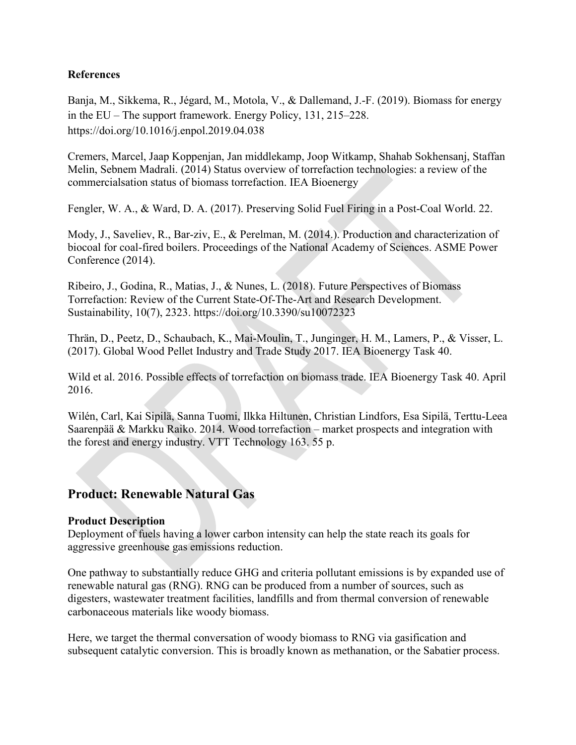## **References**

Banja, M., Sikkema, R., Jégard, M., Motola, V., & Dallemand, J.-F. (2019). Biomass for energy in the EU – The support framework. Energy Policy, 131, 215–228[.](https://doi.org/10.1016/j.enpol.2019.04.038) <https://doi.org/10.1016/j.enpol.2019.04.038>

Cremers, Marcel, Jaap Koppenjan, Jan middlekamp, Joop Witkamp, Shahab Sokhensanj, Staffan Melin, Sebnem Madrali. (2014) Status overview of torrefaction technologies: a review of the commercialsation status of biomass torrefaction. IEA Bioenergy

Fengler, W. A., & Ward, D. A. (2017). Preserving Solid Fuel Firing in a Post-Coal World. 22.

Mody, J., Saveliev, R., Bar-ziv, E., & Perelman, M. (2014.). Production and characterization of biocoal for coal-fired boilers. Proceedings of the National Academy of Sciences. ASME Power Conference (2014).

Ribeiro, J., Godina, R., Matias, J., & Nunes, L. (2018). Future Perspectives of Biomass Torrefaction: Review of the Current State-Of-The-Art and Research Development. Sustainability, 10(7), 2323. <https://doi.org/10.3390/su10072323>

Thrän, D., Peetz, D., Schaubach, K., Mai-Moulin, T., Junginger, H. M., Lamers, P., & Visser, L. (2017). Global Wood Pellet Industry and Trade Study 2017. IEA Bioenergy Task 40.

Wild et al. 2016. Possible effects of torrefaction on biomass trade. IEA Bioenergy Task 40. April 2016.

Wilén, Carl, Kai Sipilä, Sanna Tuomi, Ilkka Hiltunen, Christian Lindfors, Esa Sipilä, Terttu-Leea Saarenpää & Markku Raiko. 2014. Wood torrefaction – market prospects and integration with the forest and energy industry. VTT Technology 163. 55 p.

## **Product: Renewable Natural Gas**

#### **Product Description**

Deployment of fuels having a lower carbon intensity can help the state reach its goals for aggressive greenhouse gas emissions reduction.

One pathway to substantially reduce GHG and criteria pollutant emissions is by expanded use of renewable natural gas (RNG). RNG can be produced from a number of sources, such as digesters, wastewater treatment facilities, landfills and from thermal conversion of renewable carbonaceous materials like woody biomass.

Here, we target the thermal conversation of woody biomass to RNG via gasification and subsequent catalytic conversion. This is broadly known as methanation, or the Sabatier process.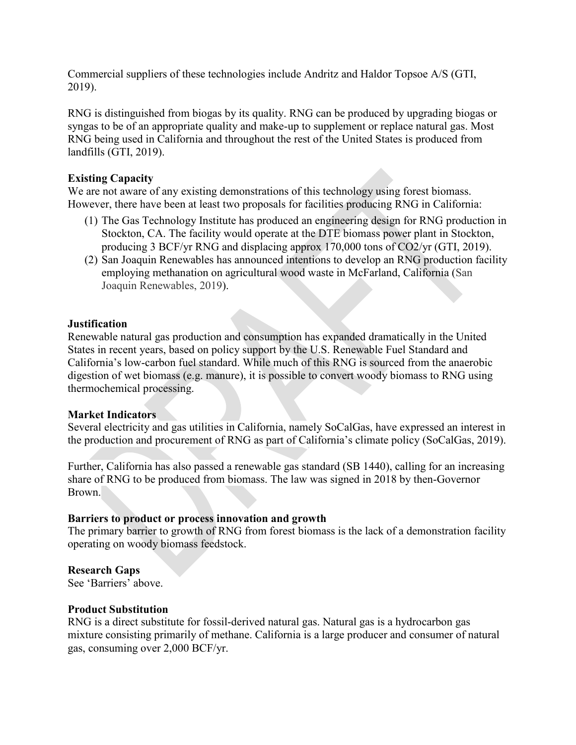Commercial suppliers of these technologies include Andritz and Haldor Topsoe A/S (GTI, 2019).

RNG is distinguished from biogas by its quality. RNG can be produced by upgrading biogas or syngas to be of an appropriate quality and make-up to supplement or replace natural gas. Most RNG being used in California and throughout the rest of the United States is produced from landfills (GTI, 2019).

## **Existing Capacity**

We are not aware of any existing demonstrations of this technology using forest biomass. However, there have been at least two proposals for facilities producing RNG in California:

- (1) The Gas Technology Institute has produced an engineering design for RNG production in Stockton, CA. The facility would operate at the DTE biomass power plant in Stockton, producing 3 BCF/yr RNG and displacing approx 170,000 tons of CO2/yr (GTI, 2019).
- (2) San Joaquin Renewables has announced intentions to develop an RNG production facility employing methanation on agricultural wood waste in McFarland, California (San Joaquin Renewables, 2019).

#### **Justification**

Renewable natural gas production and consumption has expanded dramatically in the United States in recent years, based on policy support by the U.S. Renewable Fuel Standard and California's low-carbon fuel standard. While much of this RNG is sourced from the anaerobic digestion of wet biomass (e.g. manure), it is possible to convert woody biomass to RNG using thermochemical processing.

#### **Market Indicators**

Several electricity and gas utilities in California, namely SoCalGas, have expressed an interest in the production and procurement of RNG as part of California's climate policy (SoCalGas, 2019).

Further, California has also passed a renewable gas standard (SB 1440), calling for an increasing share of RNG to be produced from biomass. The law was signed in 2018 by then-Governor Brown.

## **Barriers to product or process innovation and growth**

The primary barrier to growth of RNG from forest biomass is the lack of a demonstration facility operating on woody biomass feedstock.

## **Research Gaps**

See 'Barriers' above.

#### **Product Substitution**

RNG is a direct substitute for fossil-derived natural gas. Natural gas is a hydrocarbon gas mixture consisting primarily of methane. California is a large producer and consumer of natural gas, consuming over 2,000 BCF/yr.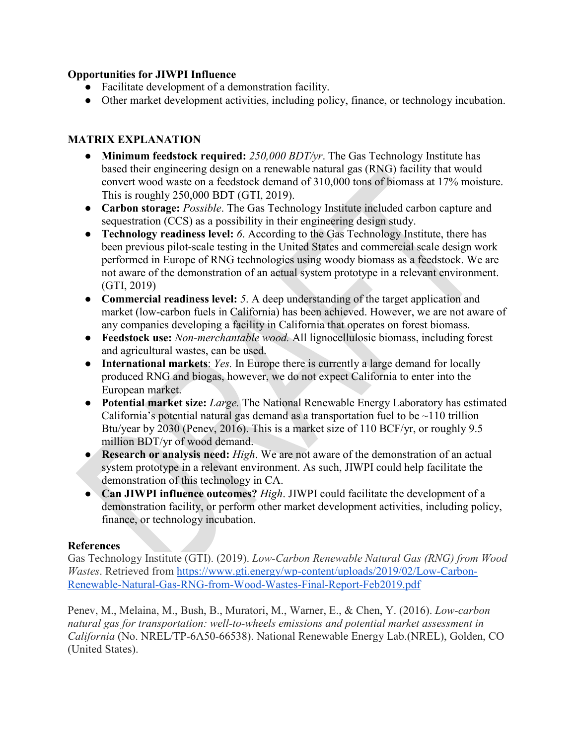## **Opportunities for JIWPI Influence**

- Facilitate development of a demonstration facility.
- Other market development activities, including policy, finance, or technology incubation.

## **MATRIX EXPLANATION**

- **Minimum feedstock required:** *250,000 BDT/yr*. The Gas Technology Institute has based their engineering design on a renewable natural gas (RNG) facility that would convert wood waste on a feedstock demand of 310,000 tons of biomass at 17% moisture. This is roughly 250,000 BDT (GTI, 2019).
- **Carbon storage:** *Possible*. The Gas Technology Institute included carbon capture and sequestration (CCS) as a possibility in their engineering design study.
- **Technology readiness level:** *6*. According to the Gas Technology Institute, there has been previous pilot-scale testing in the United States and commercial scale design work performed in Europe of RNG technologies using woody biomass as a feedstock. We are not aware of the demonstration of an actual system prototype in a relevant environment. (GTI, 2019)
- **Commercial readiness level:** *5*. A deep understanding of the target application and market (low-carbon fuels in California) has been achieved. However, we are not aware of any companies developing a facility in California that operates on forest biomass.
- **Feedstock use:** *Non-merchantable wood.* All lignocellulosic biomass, including forest and agricultural wastes, can be used.
- **International markets**: *Yes.* In Europe there is currently a large demand for locally produced RNG and biogas, however, we do not expect California to enter into the European market.
- **Potential market size:** *Large.* The National Renewable Energy Laboratory has estimated California's potential natural gas demand as a transportation fuel to be  $\sim$ 110 trillion Btu/year by 2030 (Penev, 2016). This is a market size of 110 BCF/yr, or roughly 9.5 million BDT/yr of wood demand.
- **Research or analysis need:** *High*. We are not aware of the demonstration of an actual system prototype in a relevant environment. As such, JIWPI could help facilitate the demonstration of this technology in CA.
- **Can JIWPI influence outcomes?** *High*. JIWPI could facilitate the development of a demonstration facility, or perform other market development activities, including policy, finance, or technology incubation.

## **References**

Gas Technology Institute (GTI). (2019). *Low-Carbon Renewable Natural Gas (RNG) from Wood Wastes*. Retrieved from [https://www.gti.energy/wp-content/uploads/2019/02/Low-Carbon-](https://www.gti.energy/wp-content/uploads/2019/02/Low-Carbon-Renewable-Natural-Gas-RNG-from-Wood-Wastes-Final-Report-Feb2019.pdf)[Renewable-Natural-Gas-RNG-from-Wood-Wastes-Final-Report-Feb2019.pdf](https://www.gti.energy/wp-content/uploads/2019/02/Low-Carbon-Renewable-Natural-Gas-RNG-from-Wood-Wastes-Final-Report-Feb2019.pdf)

Penev, M., Melaina, M., Bush, B., Muratori, M., Warner, E., & Chen, Y. (2016). *Low-carbon natural gas for transportation: well-to-wheels emissions and potential market assessment in California* (No. NREL/TP-6A50-66538). National Renewable Energy Lab.(NREL), Golden, CO (United States).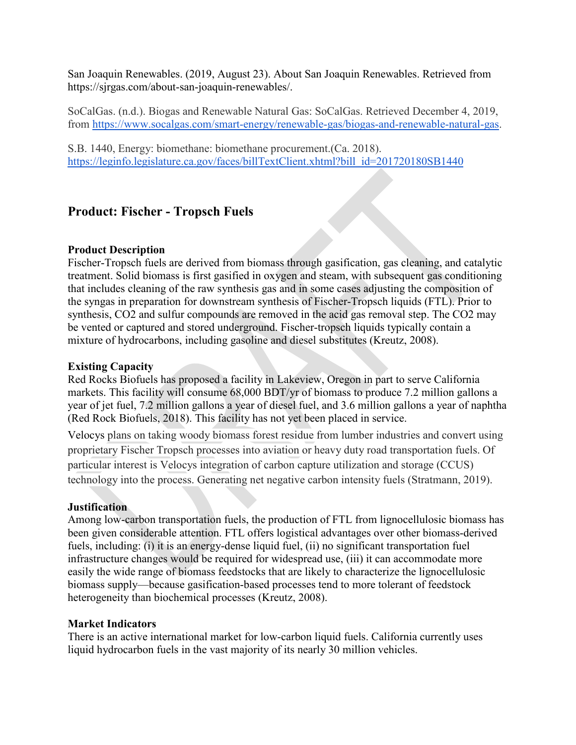San Joaquin Renewables. (2019, August 23). About San Joaquin Renewables. Retrieved from https://sjrgas.com/about-san-joaquin-renewables/.

SoCalGas. (n.d.). Biogas and Renewable Natural Gas: SoCalGas. Retrieved December 4, 2019, from [https://www.socalgas.com/smart-energy/renewable-gas/biogas-and-renewable-natural-gas.](https://www.socalgas.com/smart-energy/renewable-gas/biogas-and-renewable-natural-gas)

S.B. 1440, Energy: biomethane: biomethane procurement.(Ca. 2018). [https://leginfo.legislature.ca.gov/faces/billTextClient.xhtml?bill\\_id=201720180SB1440](https://leginfo.legislature.ca.gov/faces/billTextClient.xhtml?bill_id=201720180SB1440)

## **Product: Fischer - Tropsch Fuels**

#### **Product Description**

Fischer-Tropsch fuels are derived from biomass through gasification, gas cleaning, and catalytic treatment. Solid biomass is first gasified in oxygen and steam, with subsequent gas conditioning that includes cleaning of the raw synthesis gas and in some cases adjusting the composition of the syngas in preparation for downstream synthesis of Fischer-Tropsch liquids (FTL). Prior to synthesis, CO2 and sulfur compounds are removed in the acid gas removal step. The CO2 may be vented or captured and stored underground. Fischer-tropsch liquids typically contain a mixture of hydrocarbons, including gasoline and diesel substitutes (Kreutz, 2008).

## **Existing Capacity**

Red Rocks Biofuels has proposed a facility in Lakeview, Oregon in part to serve California markets. This facility will consume 68,000 BDT/yr of biomass to produce 7.2 million gallons a year of jet fuel, 7.2 million gallons a year of diesel fuel, and 3.6 million gallons a year of naphtha (Red Rock Biofuels, 2018). This facility has not yet been placed in service.

Velocys plans on taking woody biomass forest residue from lumber industries and convert using proprietary Fischer Tropsch processes into aviation or heavy duty road transportation fuels. Of particular interest is Velocys integration of carbon capture utilization and storage (CCUS) technology into the process. Generating net negative carbon intensity fuels (Stratmann, 2019).

#### **Justification**

Among low-carbon transportation fuels, the production of FTL from lignocellulosic biomass has been given considerable attention. FTL offers logistical advantages over other biomass-derived fuels, including: (i) it is an energy-dense liquid fuel, (ii) no significant transportation fuel infrastructure changes would be required for widespread use, (iii) it can accommodate more easily the wide range of biomass feedstocks that are likely to characterize the lignocellulosic biomass supply—because gasification-based processes tend to more tolerant of feedstock heterogeneity than biochemical processes (Kreutz, 2008).

## **Market Indicators**

There is an active international market for low-carbon liquid fuels. California currently uses liquid hydrocarbon fuels in the vast majority of its nearly 30 million vehicles.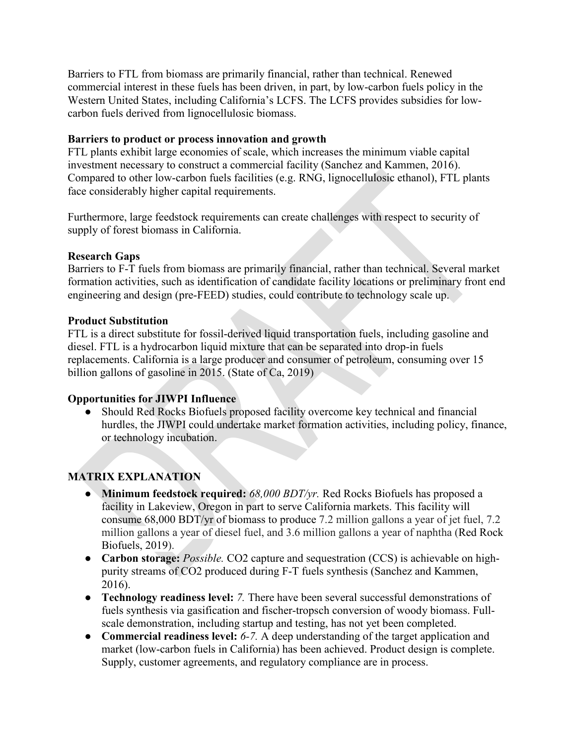Barriers to FTL from biomass are primarily financial, rather than technical. Renewed commercial interest in these fuels has been driven, in part, by low-carbon fuels policy in the Western United States, including California's LCFS. The LCFS provides subsidies for lowcarbon fuels derived from lignocellulosic biomass.

#### **Barriers to product or process innovation and growth**

FTL plants exhibit large economies of scale, which increases the minimum viable capital investment necessary to construct a commercial facility (Sanchez and Kammen, 2016). Compared to other low-carbon fuels facilities (e.g. RNG, lignocellulosic ethanol), FTL plants face considerably higher capital requirements.

Furthermore, large feedstock requirements can create challenges with respect to security of supply of forest biomass in California.

#### **Research Gaps**

Barriers to F-T fuels from biomass are primarily financial, rather than technical. Several market formation activities, such as identification of candidate facility locations or preliminary front end engineering and design (pre-FEED) studies, could contribute to technology scale up.

#### **Product Substitution**

FTL is a direct substitute for fossil-derived liquid transportation fuels, including gasoline and diesel. FTL is a hydrocarbon liquid mixture that can be separated into drop-in fuels replacements. California is a large producer and consumer of petroleum, consuming over 15 billion gallons of gasoline in 2015. (State of Ca, 2019)

## **Opportunities for JIWPI Influence**

● Should Red Rocks Biofuels proposed facility overcome key technical and financial hurdles, the JIWPI could undertake market formation activities, including policy, finance, or technology incubation.

## **MATRIX EXPLANATION**

- **Minimum feedstock required:** *68,000 BDT/yr.* Red Rocks Biofuels has proposed a facility in Lakeview, Oregon in part to serve California markets. This facility will consume 68,000 BDT/yr of biomass to produce 7.2 million gallons a year of jet fuel, 7.2 million gallons a year of diesel fuel, and 3.6 million gallons a year of naphtha (Red Rock Biofuels, 2019).
- **Carbon storage:** *Possible.* CO2 capture and sequestration (CCS) is achievable on highpurity streams of CO2 produced during F-T fuels synthesis (Sanchez and Kammen, 2016).
- **Technology readiness level:** *7.* There have been several successful demonstrations of fuels synthesis via gasification and fischer-tropsch conversion of woody biomass. Fullscale demonstration, including startup and testing, has not yet been completed.
- **Commercial readiness level:** *6-7.* A deep understanding of the target application and market (low-carbon fuels in California) has been achieved. Product design is complete. Supply, customer agreements, and regulatory compliance are in process.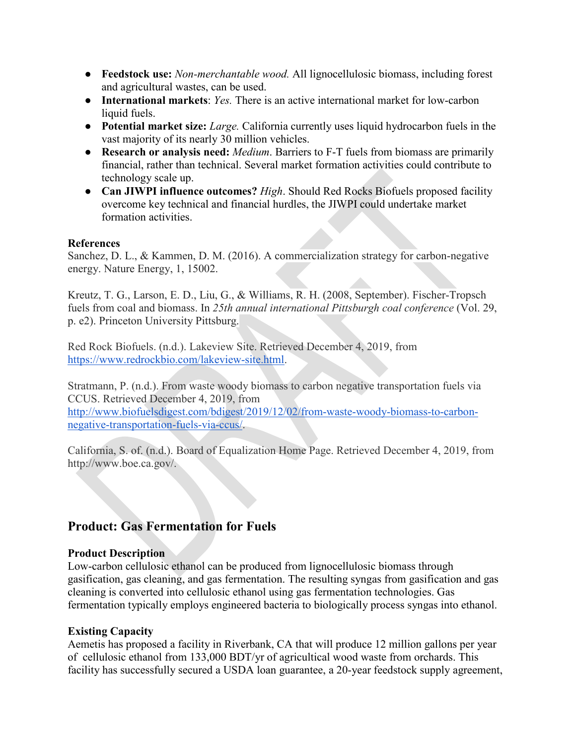- **Feedstock use:** *Non-merchantable wood.* All lignocellulosic biomass, including forest and agricultural wastes, can be used.
- **International markets**: *Yes.* There is an active international market for low-carbon liquid fuels.
- **Potential market size:** *Large.* California currently uses liquid hydrocarbon fuels in the vast majority of its nearly 30 million vehicles.
- **Research or analysis need:** *Medium*. Barriers to F-T fuels from biomass are primarily financial, rather than technical. Several market formation activities could contribute to technology scale up.
- **Can JIWPI influence outcomes?** *High*. Should Red Rocks Biofuels proposed facility overcome key technical and financial hurdles, the JIWPI could undertake market formation activities.

#### **References**

Sanchez, D. L., & Kammen, D. M. (2016). A commercialization strategy for carbon-negative energy. Nature Energy, 1, 15002.

Kreutz, T. G., Larson, E. D., Liu, G., & Williams, R. H. (2008, September). Fischer-Tropsch fuels from coal and biomass. In *25th annual international Pittsburgh coal conference* (Vol. 29, p. e2). Princeton University Pittsburg.

Red Rock Biofuels. (n.d.). Lakeview Site. Retrieved December 4, 2019, from [https://www.redrockbio.com/lakeview-site.html.](https://www.redrockbio.com/lakeview-site.html)

Stratmann, P. (n.d.). From waste woody biomass to carbon negative transportation fuels via CCUS. Retrieved December 4, 2019, from [http://www.biofuelsdigest.com/bdigest/2019/12/02/from-waste-woody-biomass-to-carbon](http://www.biofuelsdigest.com/bdigest/2019/12/02/from-waste-woody-biomass-to-carbon-negative-transportation-fuels-via-ccus/)[negative-transportation-fuels-via-ccus/.](http://www.biofuelsdigest.com/bdigest/2019/12/02/from-waste-woody-biomass-to-carbon-negative-transportation-fuels-via-ccus/)

California, S. of. (n.d.). Board of Equalization Home Page. Retrieved December 4, 2019, from http://www.boe.ca.gov/.

## **Product: Gas Fermentation for Fuels**

## **Product Description**

Low-carbon cellulosic ethanol can be produced from lignocellulosic biomass through gasification, gas cleaning, and gas fermentation. The resulting syngas from gasification and gas cleaning is converted into cellulosic ethanol using gas fermentation technologies. Gas fermentation typically employs engineered bacteria to biologically process syngas into ethanol.

## **Existing Capacity**

Aemetis has proposed a facility in Riverbank, CA that will produce 12 million gallons per year of cellulosic ethanol from 133,000 BDT/yr of agricultical wood waste from orchards. This facility has successfully secured a USDA loan guarantee, a 20-year feedstock supply agreement,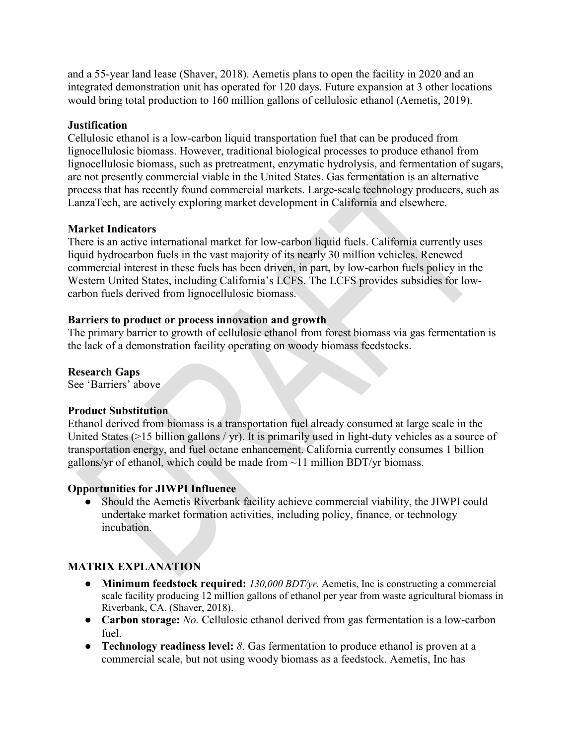and a 55-year land lease (Shaver, 2018). Aemetis plans to open the facility in 2020 and an integrated demonstration unit has operated for 120 days. Future expansion at 3 other locations would bring total production to 160 million gallons of cellulosic ethanol (Aemetis, 2019).

#### **Justification**

Cellulosic ethanol is a low-carbon liquid transportation fuel that can be produced from lignocellulosic biomass. However, traditional biological processes to produce ethanol from lignocellulosic biomass, such as pretreatment, enzymatic hydrolysis, and fermentation of sugars, are not presently commercial viable in the United States. Gas fermentation is an alternative process that has recently found commercial markets. Large-scale technology producers, such as LanzaTech, are actively exploring market development in California and elsewhere.

## **Market Indicators**

There is an active international market for low-carbon liquid fuels. California currently uses liquid hydrocarbon fuels in the vast majority of its nearly 30 million vehicles. Renewed commercial interest in these fuels has been driven, in part, by low-carbon fuels policy in the Western United States, including California's LCFS. The LCFS provides subsidies for lowcarbon fuels derived from lignocellulosic biomass.

#### **Barriers to product or process innovation and growth**

The primary barrier to growth of cellulosic ethanol from forest biomass via gas fermentation is the lack of a demonstration facility operating on woody biomass feedstocks.

#### **Research Gaps**

See 'Barriers' above

#### **Product Substitution**

Ethanol derived from biomass is a transportation fuel already consumed at large scale in the United States (>15 billion gallons / yr). It is primarily used in light-duty vehicles as a source of transportation energy, and fuel octane enhancement. California currently consumes 1 billion gallons/yr of ethanol, which could be made from  $\sim$ 11 million BDT/yr biomass.

## **Opportunities for JIWPI Influence**

● Should the Aemetis Riverbank facility achieve commercial viability, the JIWPI could undertake market formation activities, including policy, finance, or technology incubation.

## **MATRIX EXPLANATION**

- **Minimum feedstock required:** *130,000 BDT/yr.* Aemetis, Inc is constructing a commercial scale facility producing 12 million gallons of ethanol per year from waste agricultural biomass in Riverbank, CA. (Shaver, 2018).
- **Carbon storage:** *No.* Cellulosic ethanol derived from gas fermentation is a low-carbon fuel.
- **Technology readiness level:** *8*. Gas fermentation to produce ethanol is proven at a commercial scale, but not using woody biomass as a feedstock. Aemetis, Inc has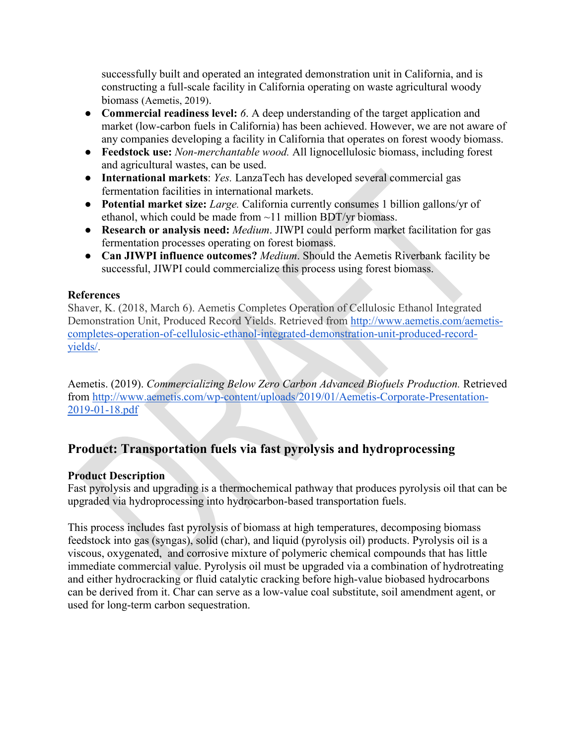successfully built and operated an integrated demonstration unit in California, and is constructing a full-scale facility in California operating on waste agricultural woody biomass (Aemetis, 2019).

- **Commercial readiness level:** 6. A deep understanding of the target application and market (low-carbon fuels in California) has been achieved. However, we are not aware of any companies developing a facility in California that operates on forest woody biomass.
- **Feedstock use:** *Non-merchantable wood.* All lignocellulosic biomass, including forest and agricultural wastes, can be used.
- **International markets**: *Yes.* LanzaTech has developed several commercial gas fermentation facilities in international markets.
- **Potential market size:** *Large.* California currently consumes 1 billion gallons/yr of ethanol, which could be made from ~11 million BDT/yr biomass.
- **Research or analysis need:** *Medium*. JIWPI could perform market facilitation for gas fermentation processes operating on forest biomass.
- **Can JIWPI influence outcomes?** *Medium*. Should the Aemetis Riverbank facility be successful, JIWPI could commercialize this process using forest biomass.

## **References**

Shaver, K. (2018, March 6). Aemetis Completes Operation of Cellulosic Ethanol Integrated Demonstration Unit, Produced Record Yields. Retrieved from [http://www.aemetis.com/aemetis](http://www.aemetis.com/aemetis-completes-operation-of-cellulosic-ethanol-integrated-demonstration-unit-produced-record-yields/)[completes-operation-of-cellulosic-ethanol-integrated-demonstration-unit-produced-record](http://www.aemetis.com/aemetis-completes-operation-of-cellulosic-ethanol-integrated-demonstration-unit-produced-record-yields/)[yields/.](http://www.aemetis.com/aemetis-completes-operation-of-cellulosic-ethanol-integrated-demonstration-unit-produced-record-yields/)

Aemetis. (2019). *Commercializing Below Zero Carbon Advanced Biofuels Production.* Retrieved from [http://www.aemetis.com/wp-content/uploads/2019/01/Aemetis-Corporate-Presentation-](http://www.aemetis.com/wp-content/uploads/2019/01/Aemetis-Corporate-Presentation-2019-01-18.pdf)[2019-01-18.pdf](http://www.aemetis.com/wp-content/uploads/2019/01/Aemetis-Corporate-Presentation-2019-01-18.pdf)

## **Product: Transportation fuels via fast pyrolysis and hydroprocessing**

## **Product Description**

Fast pyrolysis and upgrading is a thermochemical pathway that produces pyrolysis oil that can be upgraded via hydroprocessing into hydrocarbon-based transportation fuels.

This process includes fast pyrolysis of biomass at high temperatures, decomposing biomass feedstock into gas (syngas), solid (char), and liquid (pyrolysis oil) products. Pyrolysis oil is a viscous, oxygenated, and corrosive mixture of polymeric chemical compounds that has little immediate commercial value. Pyrolysis oil must be upgraded via a combination of hydrotreating and either hydrocracking or fluid catalytic cracking before high-value biobased hydrocarbons can be derived from it. Char can serve as a low-value coal substitute, soil amendment agent, or used for long-term carbon sequestration.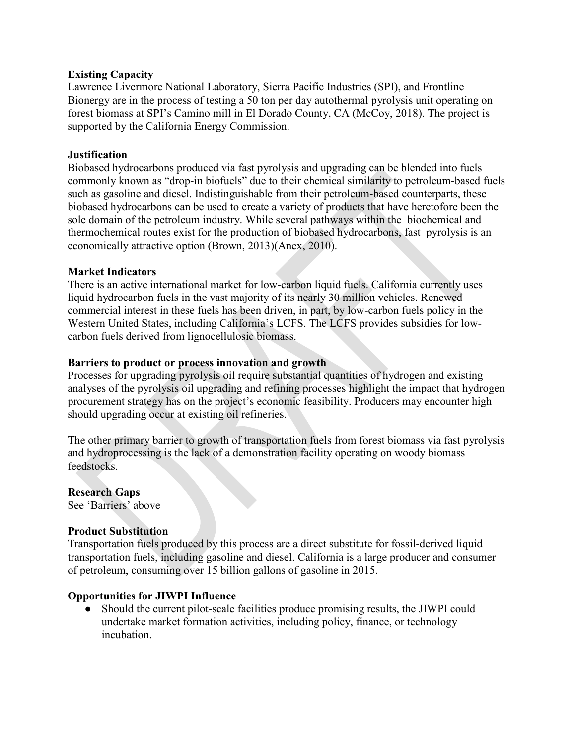#### **Existing Capacity**

Lawrence Livermore National Laboratory, Sierra Pacific Industries (SPI), and Frontline Bionergy are in the process of testing a 50 ton per day autothermal pyrolysis unit operating on forest biomass at SPI's Camino mill in El Dorado County, CA (McCoy, 2018). The project is supported by the California Energy Commission.

#### **Justification**

Biobased hydrocarbons produced via fast pyrolysis and upgrading can be blended into fuels commonly known as "drop-in biofuels" due to their chemical similarity to petroleum-based fuels such as gasoline and diesel. Indistinguishable from their petroleum-based counterparts, these biobased hydrocarbons can be used to create a variety of products that have heretofore been the sole domain of the petroleum industry. While several pathways within the biochemical and thermochemical routes exist for the production of biobased hydrocarbons, fast pyrolysis is an economically attractive option (Brown, 2013)(Anex, 2010).

#### **Market Indicators**

There is an active international market for low-carbon liquid fuels. California currently uses liquid hydrocarbon fuels in the vast majority of its nearly 30 million vehicles. Renewed commercial interest in these fuels has been driven, in part, by low-carbon fuels policy in the Western United States, including California's LCFS. The LCFS provides subsidies for lowcarbon fuels derived from lignocellulosic biomass.

#### **Barriers to product or process innovation and growth**

Processes for upgrading pyrolysis oil require substantial quantities of hydrogen and existing analyses of the pyrolysis oil upgrading and refining processes highlight the impact that hydrogen procurement strategy has on the project's economic feasibility. Producers may encounter high should upgrading occur at existing oil refineries.

The other primary barrier to growth of transportation fuels from forest biomass via fast pyrolysis and hydroprocessing is the lack of a demonstration facility operating on woody biomass feedstocks.

## **Research Gaps**

See 'Barriers' above

#### **Product Substitution**

Transportation fuels produced by this process are a direct substitute for fossil-derived liquid transportation fuels, including gasoline and diesel. California is a large producer and consumer of petroleum, consuming over 15 billion gallons of gasoline in 2015.

#### **Opportunities for JIWPI Influence**

● Should the current pilot-scale facilities produce promising results, the JIWPI could undertake market formation activities, including policy, finance, or technology incubation.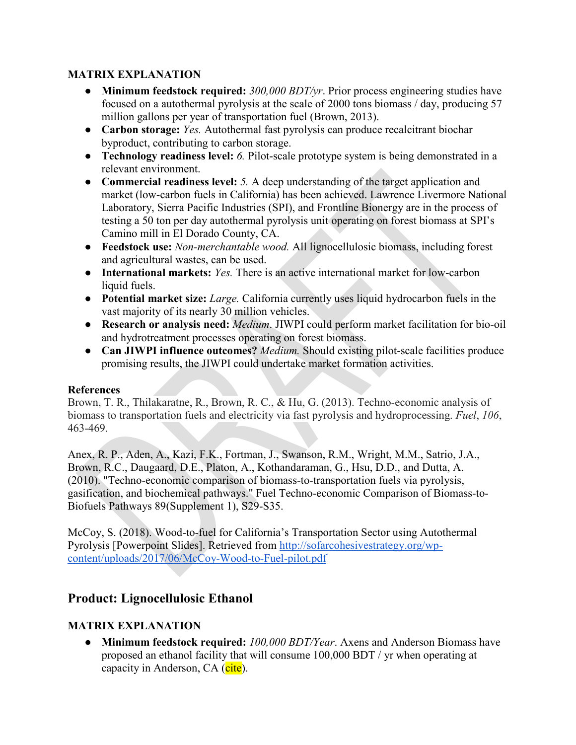## **MATRIX EXPLANATION**

- **Minimum feedstock required:** *300,000 BDT/yr*. Prior process engineering studies have focused on a autothermal pyrolysis at the scale of 2000 tons biomass / day, producing 57 million gallons per year of transportation fuel (Brown, 2013).
- **Carbon storage:** *Yes.* Autothermal fast pyrolysis can produce recalcitrant biochar byproduct, contributing to carbon storage.
- **Technology readiness level:** *6.* Pilot-scale prototype system is being demonstrated in a relevant environment.
- **Commercial readiness level:** *5.* A deep understanding of the target application and market (low-carbon fuels in California) has been achieved. Lawrence Livermore National Laboratory, Sierra Pacific Industries (SPI), and Frontline Bionergy are in the process of testing a 50 ton per day autothermal pyrolysis unit operating on forest biomass at SPI's Camino mill in El Dorado County, CA.
- **Feedstock use:** *Non-merchantable wood.* All lignocellulosic biomass, including forest and agricultural wastes, can be used.
- **International markets:** *Yes.* There is an active international market for low-carbon liquid fuels.
- **Potential market size:** *Large.* California currently uses liquid hydrocarbon fuels in the vast majority of its nearly 30 million vehicles.
- **Research or analysis need:** *Medium*. JIWPI could perform market facilitation for bio-oil and hydrotreatment processes operating on forest biomass.
- **Can JIWPI influence outcomes?** *Medium.* Should existing pilot-scale facilities produce promising results, the JIWPI could undertake market formation activities.

## **References**

Brown, T. R., Thilakaratne, R., Brown, R. C., & Hu, G. (2013). Techno-economic analysis of biomass to transportation fuels and electricity via fast pyrolysis and hydroprocessing. *Fuel*, *106*, 463-469.

Anex, R. P., Aden, A., Kazi, F.K., Fortman, J., Swanson, R.M., Wright, M.M., Satrio, J.A., Brown, R.C., Daugaard, D.E., Platon, A., Kothandaraman, G., Hsu, D.D., and Dutta, A. (2010). "Techno-economic comparison of biomass-to-transportation fuels via pyrolysis, gasification, and biochemical pathways." Fuel Techno-economic Comparison of Biomass-to-Biofuels Pathways 89(Supplement 1), S29-S35.

McCoy, S. (2018). Wood-to-fuel for California's Transportation Sector using Autothermal Pyrolysis [Powerpoint Slides]. Retrieved from [http://sofarcohesivestrategy.org/wp](http://sofarcohesivestrategy.org/wp-content/uploads/2017/06/McCoy-Wood-to-Fuel-pilot.pdf)[content/uploads/2017/06/McCoy-Wood-to-Fuel-pilot.pdf](http://sofarcohesivestrategy.org/wp-content/uploads/2017/06/McCoy-Wood-to-Fuel-pilot.pdf)

## **Product: Lignocellulosic Ethanol**

## **MATRIX EXPLANATION**

● **Minimum feedstock required:** *100,000 BDT/Year*. Axens and Anderson Biomass have proposed an ethanol facility that will consume 100,000 BDT / yr when operating at capacity in Anderson, CA (cite).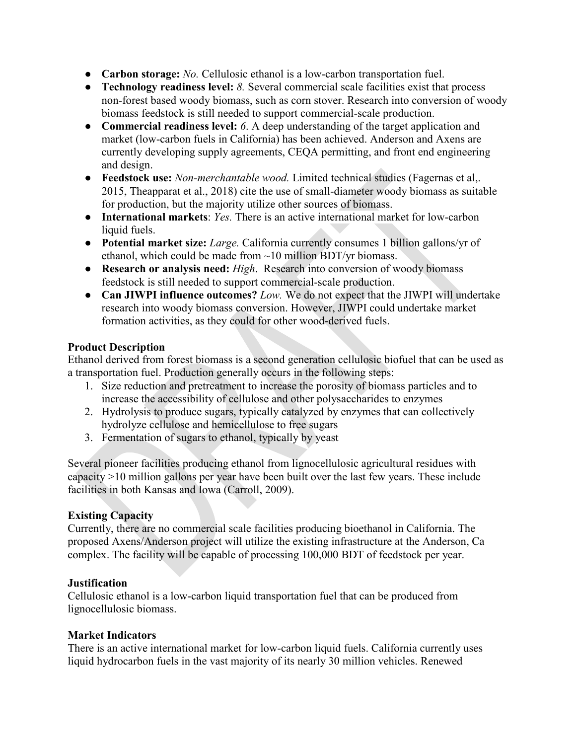- **Carbon storage:** *No.* Cellulosic ethanol is a low-carbon transportation fuel.
- **Technology readiness level:** *8.* Several commercial scale facilities exist that process non-forest based woody biomass, such as corn stover. Research into conversion of woody biomass feedstock is still needed to support commercial-scale production.
- **Commercial readiness level:** *6*. A deep understanding of the target application and market (low-carbon fuels in California) has been achieved. Anderson and Axens are currently developing supply agreements, CEQA permitting, and front end engineering and design.
- **Feedstock use:** *Non-merchantable wood.* Limited technical studies [\(Fagernas et al,.](https://www.zotero.org/google-docs/?l8ZSBm)  [2015,](https://www.zotero.org/google-docs/?l8ZSBm) [Theapparat et al., 2018\)](https://www.zotero.org/google-docs/?upd4Kp) cite the use of small-diameter woody biomass as suitable for production, but the majority utilize other sources of biomass.
- **International markets**: *Yes.* There is an active international market for low-carbon liquid fuels.
- **Potential market size:** *Large.* California currently consumes 1 billion gallons/yr of ethanol, which could be made from ~10 million BDT/yr biomass.
- **Research or analysis need:** *High*. Research into conversion of woody biomass feedstock is still needed to support commercial-scale production.
- **Can JIWPI influence outcomes?** *Low.* We do not expect that the JIWPI will undertake research into woody biomass conversion. However, JIWPI could undertake market formation activities, as they could for other wood-derived fuels.

## **Product Description**

Ethanol derived from forest biomass is a second generation cellulosic biofuel that can be used as a transportation fuel. Production generally occurs in the following steps:

- 1. Size reduction and pretreatment to increase the porosity of biomass particles and to increase the accessibility of cellulose and other polysaccharides to enzymes
- 2. Hydrolysis to produce sugars, typically catalyzed by enzymes that can collectively hydrolyze cellulose and hemicellulose to free sugars
- 3. Fermentation of sugars to ethanol, typically by yeast

Several pioneer facilities producing ethanol from lignocellulosic agricultural residues with capacity >10 million gallons per year have been built over the last few years. These include facilities in both Kansas and Iowa (Carroll, 2009).

## **Existing Capacity**

Currently, there are no commercial scale facilities producing bioethanol in California. The proposed Axens/Anderson project will utilize the existing infrastructure at the Anderson, Ca complex. The facility will be capable of processing 100,000 BDT of feedstock per year.

## **Justification**

Cellulosic ethanol is a low-carbon liquid transportation fuel that can be produced from lignocellulosic biomass.

## **Market Indicators**

There is an active international market for low-carbon liquid fuels. California currently uses liquid hydrocarbon fuels in the vast majority of its nearly 30 million vehicles. Renewed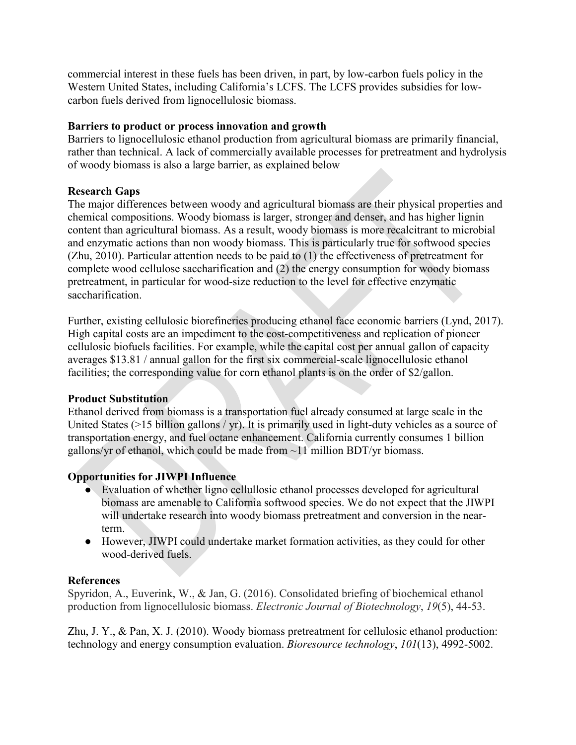commercial interest in these fuels has been driven, in part, by low-carbon fuels policy in the Western United States, including California's LCFS. The LCFS provides subsidies for lowcarbon fuels derived from lignocellulosic biomass.

## **Barriers to product or process innovation and growth**

Barriers to lignocellulosic ethanol production from agricultural biomass are primarily financial, rather than technical. A lack of commercially available processes for pretreatment and hydrolysis of woody biomass is also a large barrier, as explained below

#### **Research Gaps**

The major differences between woody and agricultural biomass are their physical properties and chemical compositions. Woody biomass is larger, stronger and denser, and has higher lignin content than agricultural biomass. As a result, woody biomass is more recalcitrant to microbial and enzymatic actions than non woody biomass. This is particularly true for softwood species (Zhu, 2010). Particular attention needs to be paid to (1) the effectiveness of pretreatment for complete wood cellulose saccharification and (2) the energy consumption for woody biomass pretreatment, in particular for wood-size reduction to the level for effective enzymatic saccharification.

Further, existing cellulosic biorefineries producing ethanol face economic barriers (Lynd, 2017). High capital costs are an impediment to the cost-competitiveness and replication of pioneer cellulosic biofuels facilities. For example, while the capital cost per annual gallon of capacity averages \$13.81 / annual gallon for the first six commercial-scale lignocellulosic ethanol facilities; the corresponding value for corn ethanol plants is on the order of \$2/gallon.

## **Product Substitution**

Ethanol derived from biomass is a transportation fuel already consumed at large scale in the United States (>15 billion gallons / yr). It is primarily used in light-duty vehicles as a source of transportation energy, and fuel octane enhancement. California currently consumes 1 billion gallons/yr of ethanol, which could be made from  $\sim$ 11 million BDT/yr biomass.

## **Opportunities for JIWPI Influence**

- Evaluation of whether ligno cellullosic ethanol processes developed for agricultural biomass are amenable to California softwood species. We do not expect that the JIWPI will undertake research into woody biomass pretreatment and conversion in the nearterm.
- However, JIWPI could undertake market formation activities, as they could for other wood-derived fuels.

## **References**

Spyridon, A., Euverink, W., & Jan, G. (2016). Consolidated briefing of biochemical ethanol production from lignocellulosic biomass. *Electronic Journal of Biotechnology*, *19*(5), 44-53.

Zhu, J. Y., & Pan, X. J. (2010). Woody biomass pretreatment for cellulosic ethanol production: technology and energy consumption evaluation. *Bioresource technology*, *101*(13), 4992-5002.